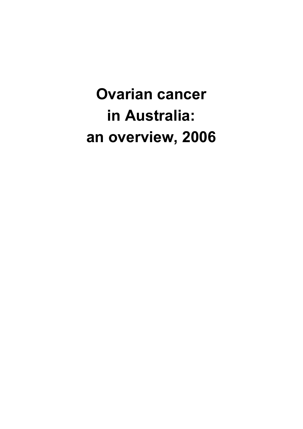## **Ovarian cancer in Australia: an overview, 2006**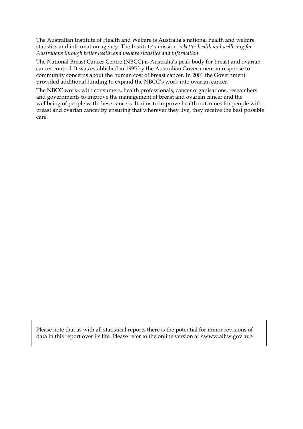The Australian Institute of Health and Welfare is Australia's national health and welfare statistics and information agency. The Institute's mission is *better health and wellbeing for Australians through better health and welfare statistics and information*.

The National Breast Cancer Centre (NBCC) is Australia's peak body for breast and ovarian cancer control. It was established in 1995 by the Australian Government in response to community concerns about the human cost of breast cancer. In 2001 the Government provided additional funding to expand the NBCC's work into ovarian cancer.

The NBCC works with consumers, health professionals, cancer organisations, researchers and governments to improve the management of breast and ovarian cancer and the wellbeing of people with these cancers. It aims to improve health outcomes for people with breast and ovarian cancer by ensuring that wherever they live, they receive the best possible care.

Please note that as with all statistical reports there is the potential for minor revisions of data in this report over its life. Please refer to the online version at <www.aihw.gov.au>.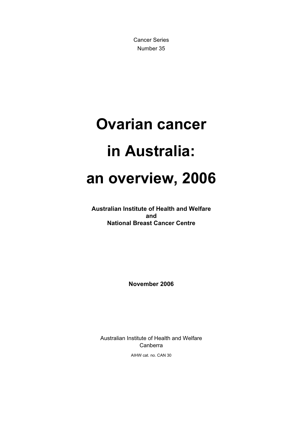Cancer Series Number 35

# **Ovarian cancer in Australia: an overview, 2006**

**Australian Institute of Health and Welfare and National Breast Cancer Centre** 

**November 2006** 

Australian Institute of Health and Welfare Canberra

AIHW cat. no. CAN 30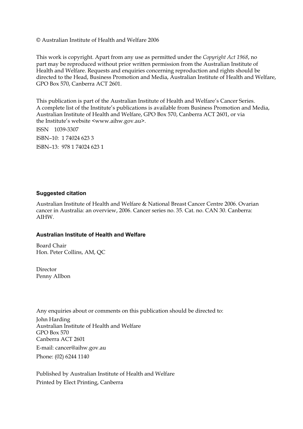#### © Australian Institute of Health and Welfare 2006

This work is copyright. Apart from any use as permitted under the *Copyright Act 1968*, no part may be reproduced without prior written permission from the Australian Institute of Health and Welfare. Requests and enquiries concerning reproduction and rights should be directed to the Head, Business Promotion and Media, Australian Institute of Health and Welfare, GPO Box 570, Canberra ACT 2601.

This publication is part of the Australian Institute of Health and Welfare's Cancer Series. A complete list of the Institute's publications is available from Business Promotion and Media, Australian Institute of Health and Welfare, GPO Box 570, Canberra ACT 2601, or via the Institute's website <www.aihw.gov.au>.

ISSN 1039-3307 ISBN–10: 1 74024 623 3 ISBN–13: 978 1 74024 623 1

### **Suggested citation**

Australian Institute of Health and Welfare & National Breast Cancer Centre 2006. Ovarian cancer in Australia: an overview, 2006. Cancer series no. 35. Cat. no. CAN 30. Canberra: AIHW.

#### **Australian Institute of Health and Welfare**

Board Chair Hon. Peter Collins, AM, QC

Director Penny Allbon

Any enquiries about or comments on this publication should be directed to:

John Harding Australian Institute of Health and Welfare GPO Box 570 Canberra ACT 2601 E-mail: cancer@aihw.gov.au

Phone: (02) 6244 1140

Published by Australian Institute of Health and Welfare Printed by Elect Printing, Canberra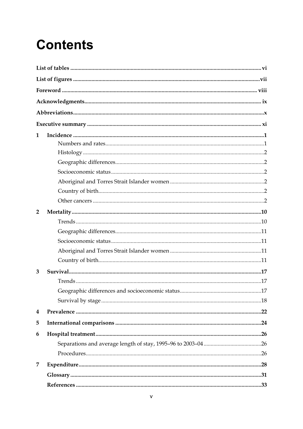## **Contents**

| $\mathbf{1}$   |  |
|----------------|--|
|                |  |
|                |  |
|                |  |
|                |  |
|                |  |
|                |  |
|                |  |
| $\overline{2}$ |  |
|                |  |
|                |  |
|                |  |
|                |  |
|                |  |
| 3              |  |
|                |  |
|                |  |
|                |  |
| 4              |  |
| 5              |  |
| 6              |  |
|                |  |
|                |  |
| 7              |  |
|                |  |
|                |  |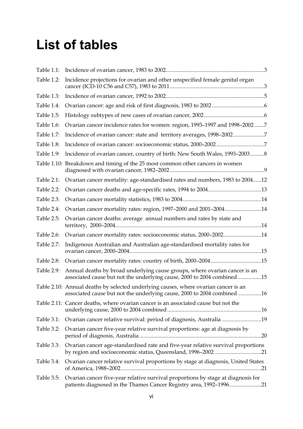## **List of tables**

| Table 1.1: |                                                                                                                                                               |
|------------|---------------------------------------------------------------------------------------------------------------------------------------------------------------|
| Table 1.2: | Incidence projections for ovarian and other unspecified female genital organ                                                                                  |
| Table 1.3: |                                                                                                                                                               |
| Table 1.4: |                                                                                                                                                               |
| Table 1.5: |                                                                                                                                                               |
| Table 1.6: | Ovarian cancer incidence rates for women: region, 1993-1997 and 1998-20027                                                                                    |
| Table 1.7: | Incidence of ovarian cancer: state and territory averages, 1998-20027                                                                                         |
| Table 1.8: |                                                                                                                                                               |
| Table 1.9: | Incidence of ovarian cancer, country of birth: New South Wales, 1993-20038                                                                                    |
|            | Table 1.10: Breakdown and timing of the 25 most common other cancers in women                                                                                 |
| Table 2.1: | Ovarian cancer mortality: age-standardised rates and numbers, 1983 to 200412                                                                                  |
| Table 2.2: |                                                                                                                                                               |
| Table 2.3: |                                                                                                                                                               |
| Table 2.4: | Ovarian cancer mortality rates: region, 1997-2000 and 2001-200414                                                                                             |
| Table 2.5: | Ovarian cancer deaths: average annual numbers and rates by state and                                                                                          |
| Table 2.6: | Ovarian cancer mortality rates: socioeconomic status, 2000-200214                                                                                             |
| Table 2.7: | Indigenous Australian and Australian age-standardised mortality rates for                                                                                     |
| Table 2.8: |                                                                                                                                                               |
| Table 2.9: | Annual deaths by broad underlying cause groups, where ovarian cancer is an<br>associated cause but not the underlying cause, 2000 to 2004 combined15          |
|            | Table 2.10: Annual deaths by selected underlying causes, where ovarian cancer is an<br>associated cause but not the underlying cause, 2000 to 2004 combined16 |
|            | Table 2.11: Cancer deaths, where ovarian cancer is an associated cause but not the                                                                            |
| Table 3.1: | Ovarian cancer relative survival: period of diagnosis, Australia 19                                                                                           |
| Table 3.2: | Ovarian cancer five-year relative survival proportions: age at diagnosis by                                                                                   |
| Table 3.3: | Ovarian cancer age-standardised rate and five-year relative survival proportions<br>by region and socioeconomic status, Queensland, 1996-2002 21              |
| Table 3.4: | Ovarian cancer relative survival proportions by stage at diagnosis, United States                                                                             |
| Table 3.5: | Ovarian cancer five-year relative survival proportions by stage at diagnosis for<br>patients diagnosed in the Thames Cancer Registry area, 1992-199621        |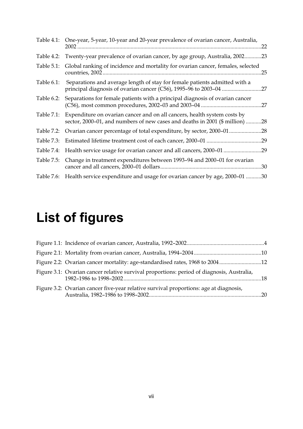|            | Table 4.1: One-year, 5-year, 10-year and 20-year prevalence of ovarian cancer, Australia,<br>22                                                              |
|------------|--------------------------------------------------------------------------------------------------------------------------------------------------------------|
| Table 4.2: | Twenty-year prevalence of ovarian cancer, by age group, Australia, 200223                                                                                    |
| Table 5.1: | Global ranking of incidence and mortality for ovarian cancer, females, selected<br>.25                                                                       |
| Table 6.1: | Separations and average length of stay for female patients admitted with a                                                                                   |
| Table 6.2: | Separations for female patients with a principal diagnosis of ovarian cancer<br>.27                                                                          |
| Table 7.1: | Expenditure on ovarian cancer and on all cancers, health system costs by<br>sector, 2000-01, and numbers of new cases and deaths in 2001 (\$ million)<br>.28 |
| Table 7.2: | .28                                                                                                                                                          |
| Table 7.3: | .29                                                                                                                                                          |
| Table 7.4: | .29                                                                                                                                                          |
| Table 7.5: | Change in treatment expenditures between 1993-94 and 2000-01 for ovarian<br>.30                                                                              |
|            | Table 7.6: Health service expenditure and usage for ovarian cancer by age, 2000–01 30                                                                        |

## **List of figures**

| Figure 2.2: Ovarian cancer mortality: age-standardised rates, 1968 to 200412              |  |
|-------------------------------------------------------------------------------------------|--|
| Figure 3.1: Ovarian cancer relative survival proportions: period of diagnosis, Australia, |  |
| Figure 3.2: Ovarian cancer five-year relative survival proportions: age at diagnosis,     |  |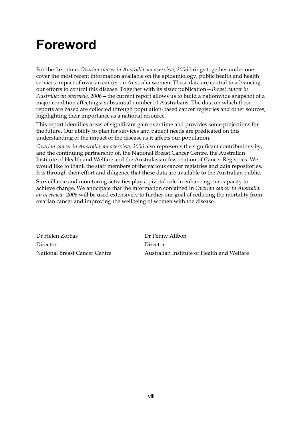## **Foreword**

For the first time, *Ovarian cancer in Australia: an overview, 2006* brings together under one cover the most recent information available on the epidemiology, public health and health services impact of ovarian cancer on Australia women. These data are central to advancing our efforts to control this disease. Together with its sister publication—*Breast cancer in Australia: an overview, 2006*—the current report allows us to build a nationwide snapshot of a major condition affecting a substantial number of Australians. The data on which these reports are based are collected through population-based cancer registries and other sources, highlighting their importance as a national resource.

This report identifies areas of significant gain over time and provides some projections for the future. Our ability to plan for services and patient needs are predicated on this understanding of the impact of the disease as it affects our population.

*Ovarian cancer in Australia: an overview, 2006* also represents the significant contributions by, and the continuing partnership of, the National Breast Cancer Centre, the Australian Institute of Health and Welfare and the Australasian Association of Cancer Registries. We would like to thank the staff members of the various cancer registries and data repositories. It is through their effort and diligence that these data are available to the Australian public.

Surveillance and monitoring activities play a pivotal role in enhancing our capacity to achieve change. We anticipate that the information contained in *Ovarian cancer in Australia: an overview, 2006* will be used extensively to further our goal of reducing the mortality from ovarian cancer and improving the wellbeing of women with the disease.

Dr Helen Zorbas Dr Penny Allbon Director Director

National Breast Cancer Centre Australian Institute of Health and Welfare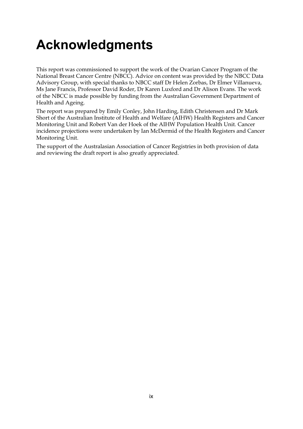## **Acknowledgments**

This report was commissioned to support the work of the Ovarian Cancer Program of the National Breast Cancer Centre (NBCC). Advice on content was provided by the NBCC Data Advisory Group, with special thanks to NBCC staff Dr Helen Zorbas, Dr Elmer Villanueva, Ms Jane Francis, Professor David Roder, Dr Karen Luxford and Dr Alison Evans. The work of the NBCC is made possible by funding from the Australian Government Department of Health and Ageing.

The report was prepared by Emily Conley, John Harding, Edith Christensen and Dr Mark Short of the Australian Institute of Health and Welfare (AIHW) Health Registers and Cancer Monitoring Unit and Robert Van der Hoek of the AIHW Population Health Unit. Cancer incidence projections were undertaken by Ian McDermid of the Health Registers and Cancer Monitoring Unit.

The support of the Australasian Association of Cancer Registries in both provision of data and reviewing the draft report is also greatly appreciated.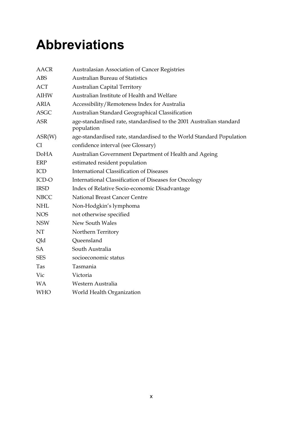## **Abbreviations**

| <b>AACR</b> | <b>Australasian Association of Cancer Registries</b>                              |
|-------------|-----------------------------------------------------------------------------------|
| <b>ABS</b>  | <b>Australian Bureau of Statistics</b>                                            |
| <b>ACT</b>  | <b>Australian Capital Territory</b>                                               |
| <b>AIHW</b> | Australian Institute of Health and Welfare                                        |
| <b>ARIA</b> | Accessibility/Remoteness Index for Australia                                      |
| <b>ASGC</b> | Australian Standard Geographical Classification                                   |
| <b>ASR</b>  | age-standardised rate, standardised to the 2001 Australian standard<br>population |
| ASR(W)      | age-standardised rate, standardised to the World Standard Population              |
| CI.         | confidence interval (see Glossary)                                                |
| DoHA        | Australian Government Department of Health and Ageing                             |
| ERP         | estimated resident population                                                     |
| ICD         | <b>International Classification of Diseases</b>                                   |
| ICD-O       | International Classification of Diseases for Oncology                             |
| <b>IRSD</b> | Index of Relative Socio-economic Disadvantage                                     |
| <b>NBCC</b> | National Breast Cancer Centre                                                     |
| <b>NHL</b>  | Non-Hodgkin's lymphoma                                                            |
| <b>NOS</b>  | not otherwise specified                                                           |
| <b>NSW</b>  | New South Wales                                                                   |
| NT          | Northern Territory                                                                |
| Qld         | Queensland                                                                        |
| SA          | South Australia                                                                   |
| <b>SES</b>  | socioeconomic status                                                              |
| Tas         | Tasmania                                                                          |
| Vic         | Victoria                                                                          |
| <b>WA</b>   | Western Australia                                                                 |
| <b>WHO</b>  | World Health Organization                                                         |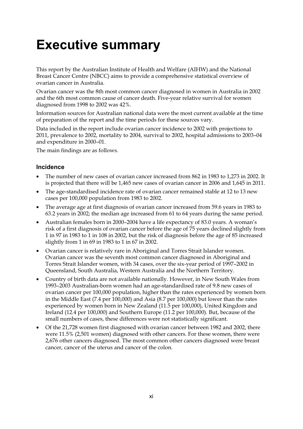## **Executive summary**

This report by the Australian Institute of Health and Welfare (AIHW) and the National Breast Cancer Centre (NBCC) aims to provide a comprehensive statistical overview of ovarian cancer in Australia.

Ovarian cancer was the 8th most common cancer diagnosed in women in Australia in 2002 and the 6th most common cause of cancer death. Five-year relative survival for women diagnosed from 1998 to 2002 was 42%.

Information sources for Australian national data were the most current available at the time of preparation of the report and the time periods for these sources vary.

Data included in the report include ovarian cancer incidence to 2002 with projections to 2011, prevalence to 2002, mortality to 2004, survival to 2002, hospital admissions to 2003–04 and expenditure in 2000–01.

The main findings are as follows.

### **Incidence**

- The number of new cases of ovarian cancer increased from 862 in 1983 to 1,273 in 2002. It is projected that there will be 1,465 new cases of ovarian cancer in 2006 and 1,645 in 2011.
- The age-standardised incidence rate of ovarian cancer remained stable at 12 to 13 new cases per 100,000 population from 1983 to 2002.
- The average age at first diagnosis of ovarian cancer increased from 59.6 years in 1983 to 63.2 years in 2002; the median age increased from 61 to 64 years during the same period.
- Australian females born in 2000–2004 have a life expectancy of 83.0 years. A woman's risk of a first diagnosis of ovarian cancer before the age of 75 years declined slightly from 1 in 97 in 1983 to 1 in 108 in 2002, but the risk of diagnosis before the age of 85 increased slightly from 1 in 69 in 1983 to 1 in 67 in 2002.
- Ovarian cancer is relatively rare in Aboriginal and Torres Strait Islander women. Ovarian cancer was the seventh most common cancer diagnosed in Aboriginal and Torres Strait Islander women, with 34 cases, over the six-year period of 1997–2002 in Queensland, South Australia, Western Australia and the Northern Territory.
- Country of birth data are not available nationally. However, in New South Wales from 1993–2003 Australian-born women had an age-standardised rate of 9.8 new cases of ovarian cancer per 100,000 population, higher than the rates experienced by women born in the Middle East (7.4 per 100,000) and Asia (8.7 per 100,000) but lower than the rates experienced by women born in New Zealand (11.5 per 100,000), United Kingdom and Ireland (12.4 per 100,000) and Southern Europe (11.2 per 100,000). But, because of the small numbers of cases, these differences were not statistically significant.
- Of the 21,728 women first diagnosed with ovarian cancer between 1982 and 2002, there were 11.5% (2,501 women) diagnosed with other cancers. For these women, there were 2,676 other cancers diagnosed. The most common other cancers diagnosed were breast cancer, cancer of the uterus and cancer of the colon.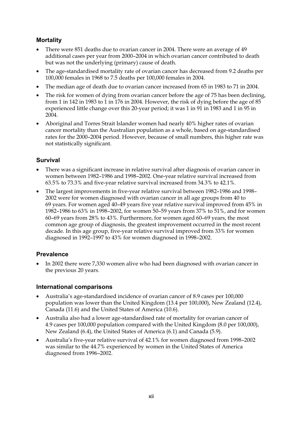### **Mortality**

- There were 851 deaths due to ovarian cancer in 2004. There were an average of 49 additional cases per year from 2000–2004 in which ovarian cancer contributed to death but was not the underlying (primary) cause of death.
- The age-standardised mortality rate of ovarian cancer has decreased from 9.2 deaths per 100,000 females in 1968 to 7.5 deaths per 100,000 females in 2004.
- The median age of death due to ovarian cancer increased from 65 in 1983 to 71 in 2004.
- The risk for women of dying from ovarian cancer before the age of 75 has been declining, from 1 in 142 in 1983 to 1 in 176 in 2004. However, the risk of dying before the age of 85 experienced little change over this 20-year period; it was 1 in 91 in 1983 and 1 in 95 in 2004.
- Aboriginal and Torres Strait Islander women had nearly 40% higher rates of ovarian cancer mortality than the Australian population as a whole, based on age-standardised rates for the 2000–2004 period. However, because of small numbers, this higher rate was not statistically significant.

### **Survival**

- There was a significant increase in relative survival after diagnosis of ovarian cancer in women between 1982–1986 and 1998–2002. One-year relative survival increased from 63.5% to 73.3% and five-year relative survival increased from 34.3% to 42.1%.
- The largest improvements in five-year relative survival between 1982–1986 and 1998– 2002 were for women diagnosed with ovarian cancer in all age groups from 40 to 69 years. For women aged 40–49 years five year relative survival improved from 45% in 1982–1986 to 63% in 1998–2002, for women 50–59 years from 37% to 51%, and for women 60–69 years from 28% to 43%. Furthermore, for women aged 60–69 years, the most common age group of diagnosis, the greatest improvement occurred in the most recent decade. In this age group, five-year relative survival improved from 33% for women diagnosed in 1992–1997 to 43% for women diagnosed in 1998–2002.

### **Prevalence**

• In 2002 there were 7,330 women alive who had been diagnosed with ovarian cancer in the previous 20 years.

### **International comparisons**

- Australia's age-standardised incidence of ovarian cancer of 8.9 cases per 100,000 population was lower than the United Kingdom (13.4 per 100,000), New Zealand (12.4), Canada (11.6) and the United States of America (10.6).
- Australia also had a lower age-standardised rate of mortality for ovarian cancer of 4.9 cases per 100,000 population compared with the United Kingdom (8.0 per 100,000), New Zealand (6.4), the United States of America (6.1) and Canada (5.9).
- Australia's five-year relative survival of 42.1% for women diagnosed from 1998–2002 was similar to the 44.7% experienced by women in the United States of America diagnosed from 1996–2002.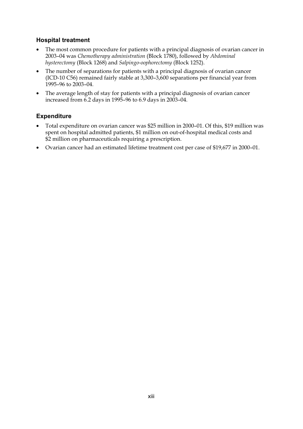### **Hospital treatment**

- The most common procedure for patients with a principal diagnosis of ovarian cancer in 2003–04 was *Chemotherapy administration* (Block 1780), followed by *Abdominal hysterectomy* (Block 1268) and *Salpingo-oophorectomy* (Block 1252).
- The number of separations for patients with a principal diagnosis of ovarian cancer (ICD-10 C56) remained fairly stable at 3,300–3,600 separations per financial year from 1995–96 to 2003–04.
- The average length of stay for patients with a principal diagnosis of ovarian cancer increased from 6.2 days in 1995–96 to 6.9 days in 2003–04.

### **Expenditure**

- Total expenditure on ovarian cancer was \$25 million in 2000–01. Of this, \$19 million was spent on hospital admitted patients, \$1 million on out-of-hospital medical costs and \$2 million on pharmaceuticals requiring a prescription.
- Ovarian cancer had an estimated lifetime treatment cost per case of \$19,677 in 2000–01.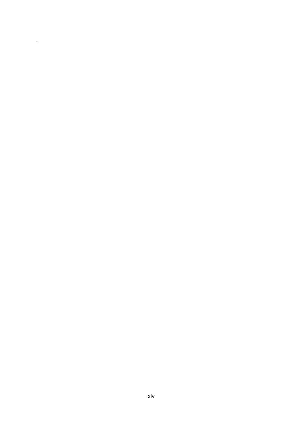xiv

.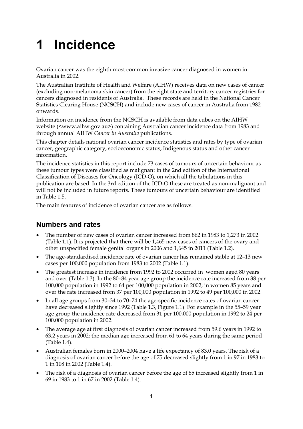## **1 Incidence**

Ovarian cancer was the eighth most common invasive cancer diagnosed in women in Australia in 2002.

The Australian Institute of Health and Welfare (AIHW) receives data on new cases of cancer (excluding non-melanoma skin cancer) from the eight state and territory cancer registries for cancers diagnosed in residents of Australia. These records are held in the National Cancer Statistics Clearing House (NCSCH) and include new cases of cancer in Australia from 1982 onwards.

Information on incidence from the NCSCH is available from data cubes on the AIHW website (<www.aihw.gov.au>) containing Australian cancer incidence data from 1983 and through annual AIHW *Cancer in Australia* publications.

This chapter details national ovarian cancer incidence statistics and rates by type of ovarian cancer, geographic category, socioeconomic status, Indigenous status and other cancer information.

The incidence statistics in this report include 73 cases of tumours of uncertain behaviour as these tumour types were classified as malignant in the 2nd edition of the International Classification of Diseases for Oncology (ICD-O), on which all the tabulations in this publication are based. In the 3rd edition of the ICD-O these are treated as non-malignant and will not be included in future reports. These tumours of uncertain behaviour are identified in Table 1.5.

The main features of incidence of ovarian cancer are as follows.

### **Numbers and rates**

- The number of new cases of ovarian cancer increased from 862 in 1983 to 1,273 in 2002 (Table 1.1). It is projected that there will be 1,465 new cases of cancers of the ovary and other unspecified female genital organs in 2006 and 1,645 in 2011 (Table 1.2).
- The age-standardised incidence rate of ovarian cancer has remained stable at 12–13 new cases per 100,000 population from 1983 to 2002 (Table 1.1).
- The greatest increase in incidence from 1992 to 2002 occurred in women aged 80 years and over (Table 1.3). In the 80–84 year age group the incidence rate increased from 38 per 100,000 population in 1992 to 64 per 100,000 population in 2002; in women 85 years and over the rate increased from 37 per 100,000 population in 1992 to 49 per 100,000 in 2002.
- In all age groups from 30–34 to 70–74 the age-specific incidence rates of ovarian cancer have decreased slightly since 1992 (Table 1.3, Figure 1.1). For example in the 55–59 year age group the incidence rate decreased from 31 per 100,000 population in 1992 to 24 per 100,000 population in 2002.
- The average age at first diagnosis of ovarian cancer increased from 59.6 years in 1992 to 63.2 years in 2002; the median age increased from 61 to 64 years during the same period (Table 1.4).
- Australian females born in 2000–2004 have a life expectancy of 83.0 years. The risk of a diagnosis of ovarian cancer before the age of 75 decreased slightly from 1 in 97 in 1983 to 1 in 108 in 2002 (Table 1.4).
- The risk of a diagnosis of ovarian cancer before the age of 85 increased slightly from 1 in 69 in 1983 to 1 in 67 in 2002 (Table 1.4).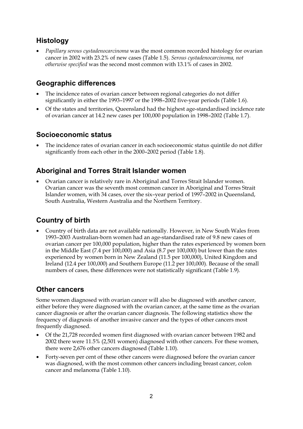## **Histology**

• *Papillary serous cystadenocarcinoma* was the most common recorded histology for ovarian cancer in 2002 with 23.2% of new cases (Table 1.5). *Serous cystadenocarcinoma, not otherwise specified* was the second most common with 13.1% of cases in 2002.

## **Geographic differences**

- The incidence rates of ovarian cancer between regional categories do not differ significantly in either the 1993–1997 or the 1998–2002 five-year periods (Table 1.6).
- Of the states and territories, Queensland had the highest age-standardised incidence rate of ovarian cancer at 14.2 new cases per 100,000 population in 1998–2002 (Table 1.7).

### **Socioeconomic status**

The incidence rates of ovarian cancer in each socioeconomic status quintile do not differ significantly from each other in the 2000–2002 period (Table 1.8).

## **Aboriginal and Torres Strait Islander women**

• Ovarian cancer is relatively rare in Aboriginal and Torres Strait Islander women. Ovarian cancer was the seventh most common cancer in Aboriginal and Torres Strait Islander women, with 34 cases, over the six–year period of 1997–2002 in Queensland, South Australia, Western Australia and the Northern Territory.

## **Country of birth**

• Country of birth data are not available nationally. However, in New South Wales from 1993–2003 Australian-born women had an age-standardised rate of 9.8 new cases of ovarian cancer per 100,000 population, higher than the rates experienced by women born in the Middle East (7.4 per 100,000) and Asia (8.7 per 100,000) but lower than the rates experienced by women born in New Zealand (11.5 per 100,000), United Kingdom and Ireland (12.4 per 100,000) and Southern Europe (11.2 per 100,000). Because of the small numbers of cases, these differences were not statistically significant (Table 1.9).

## **Other cancers**

Some women diagnosed with ovarian cancer will also be diagnosed with another cancer, either before they were diagnosed with the ovarian cancer, at the same time as the ovarian cancer diagnosis or after the ovarian cancer diagnosis. The following statistics show the frequency of diagnosis of another invasive cancer and the types of other cancers most frequently diagnosed.

- Of the 21,728 recorded women first diagnosed with ovarian cancer between 1982 and 2002 there were 11.5% (2,501 women) diagnosed with other cancers. For these women, there were 2,676 other cancers diagnosed (Table 1.10).
- Forty-seven per cent of these other cancers were diagnosed before the ovarian cancer was diagnosed, with the most common other cancers including breast cancer, colon cancer and melanoma (Table 1.10).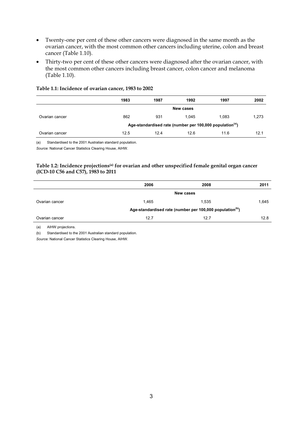- Twenty-one per cent of these other cancers were diagnosed in the same month as the ovarian cancer, with the most common other cancers including uterine, colon and breast cancer (Table 1.10).
- Thirty-two per cent of these other cancers were diagnosed after the ovarian cancer, with the most common other cancers including breast cancer, colon cancer and melanoma (Table 1.10).

|                | 1983 | 1987 | 1992                                                                  | 1997  | 2002  |
|----------------|------|------|-----------------------------------------------------------------------|-------|-------|
|                |      |      | New cases                                                             |       |       |
| Ovarian cancer | 862  | 931  | 1.045                                                                 | 1.083 | 1,273 |
|                |      |      | Age-standardised rate (number per 100,000 population <sup>(a)</sup> ) |       |       |
| Ovarian cancer | 12.5 | 12.4 | 12.6                                                                  | 11.6  | 12.1  |

#### **Table 1.1: Incidence of ovarian cancer, 1983 to 2002**

(a) Standardised to the 2001 Australian standard population.

*Source:* National Cancer Statistics Clearing House, AIHW.

#### Table 1.2: Incidence projections<sup>(a)</sup> for ovarian and other unspecified female genital organ cancer **(ICD-10 C56 and C57), 1983 to 2011**

|                | 2006  | 2008                                                                  | 2011  |
|----------------|-------|-----------------------------------------------------------------------|-------|
|                |       | New cases                                                             |       |
| Ovarian cancer | 1.465 | 1.535                                                                 | 1,645 |
|                |       | Age-standardised rate (number per 100,000 population <sup>(b)</sup> ) |       |
| Ovarian cancer | 12.7  | 12.7                                                                  | 12.8  |
|                |       |                                                                       |       |

(a) AIHW projections.

(b) Standardised to the 2001 Australian standard population.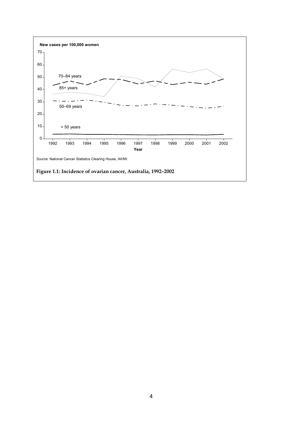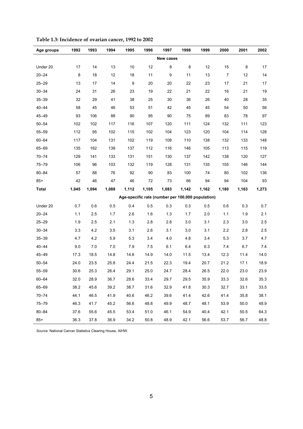| Age groups   | 1992  | 1993  | 1994  | 1995             | 1996  | 1997  | 1998                                              | 1999  | 2000           | 2001  | 2002  |
|--------------|-------|-------|-------|------------------|-------|-------|---------------------------------------------------|-------|----------------|-------|-------|
| New cases    |       |       |       |                  |       |       |                                                   |       |                |       |       |
| Under 20     | 17    | 14    | 13    | 10               | 12    | 8     | 8                                                 | 12    | 15             | 8     | 17    |
| $20 - 24$    | 8     | 18    | 12    | 18               | 11    | 9     | 11                                                | 13    | $\overline{7}$ | 12    | 14    |
| $25 - 29$    | 13    | 17    | 14    | $\boldsymbol{9}$ | 20    | 20    | 22                                                | 23    | 17             | 21    | 17    |
| $30 - 34$    | 24    | 31    | 26    | 23               | 19    | 22    | 21                                                | 22    | 16             | 21    | 19    |
| $35 - 39$    | 32    | 29    | 41    | 38               | 25    | 30    | 36                                                | 26    | 40             | 28    | 35    |
| $40 - 44$    | 58    | 45    | 46    | 53               | 51    | 42    | 45                                                | 45    | 54             | 50    | 56    |
| 45-49        | 93    | 106   | 88    | 90               | 95    | 90    | 75                                                | 89    | 83             | 78    | 97    |
| $50 - 54$    | 102   | 102   | 117   | 116              | 107   | 120   | 111                                               | 124   | 132            | 111   | 123   |
| $55 - 59$    | 112   | 95    | 102   | 115              | 102   | 104   | 123                                               | 120   | 104            | 114   | 128   |
| $60 - 64$    | 117   | 104   | 131   | 102              | 119   | 108   | 110                                               | 138   | 132            | 133   | 148   |
| 65-69        | 135   | 162   | 139   | 137              | 112   | 116   | 146                                               | 105   | 113            | 115   | 119   |
| $70 - 74$    | 129   | 141   | 133   | 131              | 151   | 130   | 137                                               | 142   | 138            | 120   | 127   |
| $75 - 79$    | 106   | 96    | 103   | 132              | 119   | 128   | 131                                               | 135   | 155            | 146   | 144   |
| $80 - 84$    | 57    | 88    | 76    | 92               | 90    | 83    | 100                                               | 74    | 80             | 102   | 136   |
| $85+$        | 42    | 46    | 47    | 46               | 72    | 73    | 66                                                | 94    | 94             | 104   | 93    |
| <b>Total</b> | 1,045 | 1,094 | 1,088 | 1,112            | 1,105 | 1,083 | 1,142                                             | 1,162 | 1,180          | 1,163 | 1,273 |
|              |       |       |       |                  |       |       | Age-specific rate (number per 100,000 population) |       |                |       |       |
| Under 20     | 0.7   | 0.6   | 0.5   | 0.4              | 0.5   | 0.3   | 0.3                                               | 0.5   | 0.6            | 0.3   | 0.7   |
| $20 - 24$    | 1.1   | 2.5   | 1.7   | 2.6              | 1.6   | 1.3   | 1.7                                               | 2.0   | 1.1            | 1.9   | 2.1   |
| $25 - 29$    | 1.9   | 2.5   | 2.1   | 1.3              | 2.8   | 2.8   | 3.0                                               | 3.1   | 2.3            | 3.0   | 2.5   |
| $30 - 34$    | 3.3   | 4.2   | 3.5   | 3.1              | 2.6   | 3.1   | 3.0                                               | 3.1   | 2.2            | 2.8   | 2.5   |
| $35 - 39$    | 4.7   | 4.2   | 5.9   | 5.3              | 3.4   | 4.0   | 4.8                                               | 3.4   | 5.3            | 3.7   | 4.7   |
| $40 - 44$    | 9.0   | 7.0   | 7.0   | 7.9              | 7.5   | 6.1   | 6.4                                               | 6.3   | 7.4            | 6.7   | 7.4   |
| 45-49        | 17.3  | 18.5  | 14.8  | 14.6             | 14.9  | 14.0  | 11.5                                              | 13.4  | 12.3           | 11.4  | 14.0  |
| $50 - 54$    | 24.0  | 23.5  | 25.8  | 24.4             | 21.5  | 22.3  | 19.4                                              | 20.7  | 21.2           | 17.1  | 18.9  |
| $55 - 59$    | 30.6  | 25.3  | 26.4  | 29.1             | 25.0  | 24.7  | 28.4                                              | 26.5  | 22.0           | 23.0  | 23.9  |
| 60-64        | 32.0  | 28.9  | 36.7  | 28.6             | 33.4  | 29.7  | 29.5                                              | 35.9  | 33.3           | 32.6  | 35.3  |
| 65-69        | 38.2  | 45.6  | 39.2  | 38.7             | 31.6  | 32.9  | 41.8                                              | 30.3  | 32.7           | 33.1  | 33.5  |
| $70 - 74$    | 44.1  | 46.5  | 41.9  | 40.6             | 46.2  | 39.6  | 41.4                                              | 42.6  | 41.4           | 35.8  | 38.1  |
| 75-79        | 46.3  | 41.7  | 45.2  | 56.6             | 48.8  | 49.9  | 48.7                                              | 48.1  | 53.9           | 50.0  | 48.9  |
| 80-84        | 37.6  | 55.6  | 45.5  | 53.4             | 51.0  | 46.1  | 54.9                                              | 40.4  | 42.1           | 50.5  | 64.3  |
| $85+$        | 36.3  | 37.8  | 36.9  | 34.2             | 50.8  | 48.9  | 42.1                                              | 56.6  | 53.7           | 56.7  | 48.8  |

**Table 1.3: Incidence of ovarian cancer, 1992 to 2002**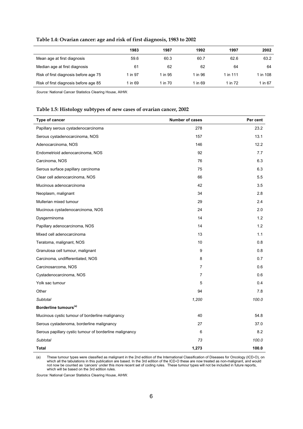|                                       | 1983    | 1987    | 1992    | 1997     | 2002     |
|---------------------------------------|---------|---------|---------|----------|----------|
| Mean age at first diagnosis           | 59.6    | 60.3    | 60.7    | 62.6     | 63.2     |
| Median age at first diagnosis         | 61      | 62      | 62      | 64       | 64       |
| Risk of first diagnosis before age 75 | 1 in 97 | 1 in 95 | 1 in 96 | 1 in 111 | 1 in 108 |
| Risk of first diagnosis before age 85 | 1 in 69 | 1 in 70 | 1 in 69 | 1 in 72  | 1 in 67  |

#### **Table 1.4: Ovarian cancer: age and risk of first diagnosis, 1983 to 2002**

*Source:* National Cancer Statistics Clearing House, AIHW.

#### **Table 1.5: Histology subtypes of new cases of ovarian cancer, 2002**

| Type of cancer                                          | Number of cases | Per cent |
|---------------------------------------------------------|-----------------|----------|
| Papillary serous cystadenocarcinoma                     | 278             | 23.2     |
| Serous cystadenocarcinoma, NOS                          | 157             | 13.1     |
| Adenocarcinoma, NOS                                     | 146             | 12.2     |
| Endometrioid adenocarcinoma, NOS                        | 92              | 7.7      |
| Carcinoma, NOS                                          | 76              | 6.3      |
| Serous surface papillary carcinoma                      | 75              | 6.3      |
| Clear cell adenocarcinoma, NOS                          | 66              | 5.5      |
| Mucinous adenocarcinoma                                 | 42              | 3.5      |
| Neoplasm, malignant                                     | 34              | 2.8      |
| Mullerian mixed tumour                                  | 29              | 2.4      |
| Mucinous cystadenocarcinoma, NOS                        | 24              | 2.0      |
| Dysgerminoma                                            | 14              | 1.2      |
| Papillary adenocarcinoma, NOS                           | 14              | 1.2      |
| Mixed cell adenocarcinoma                               | 13              | 1.1      |
| Teratoma, malignant, NOS                                | 10              | 0.8      |
| Granulosa cell tumour, malignant                        | 9               | 0.8      |
| Carcinoma, undifferentiated, NOS                        | 8               | 0.7      |
| Carcinosarcoma, NOS                                     | $\overline{7}$  | 0.6      |
| Cystadenocarcinoma, NOS                                 | 7               | 0.6      |
| Yolk sac tumour                                         | 5               | 0.4      |
| Other                                                   | 94              | 7.8      |
| <b>Subtotal</b>                                         | 1,200           | 100.0    |
| Borderline tumours <sup>(a)</sup>                       |                 |          |
| Mucinous cystic tumour of borderline malignancy         | 40              | 54.8     |
| Serous cystadenoma, borderline malignancy               | 27              | 37.0     |
| Serous papillary cystic tumour of borderline malignancy | 6               | 8.2      |
| Subtotal                                                | 73              | 100.0    |
| Total                                                   | 1,273           | 100.0    |

(a) These tumour types were classified as malignant in the 2nd edition of the International Classification of Diseases for Oncology (ICD-O), on which all the tabulations in this publication are based. In the 3rd edition of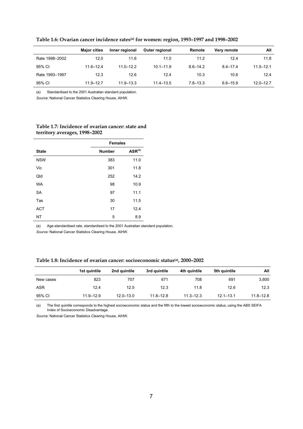|                | <b>Major cities</b> | Inner regional | <b>Outer regional</b> | Remote       | Very remote  | All           |
|----------------|---------------------|----------------|-----------------------|--------------|--------------|---------------|
| Rate 1998-2002 | 12.0                | 11.6           | 11.0                  | 11.2         | 12.4         | 11.8          |
| 95% CI         | $11.6 - 12.4$       | $11.0 - 12.2$  | $10.1 - 11.9$         | $8.6 - 14.2$ | $8.4 - 17.4$ | $11.5 - 12.1$ |
| Rate 1993-1997 | 12.3                | 12.6           | 12.4                  | 10.3         | 10.6         | 12.4          |
| 95% CI         | $11.9 - 12.7$       | $11.9 - 13.3$  | $11.4 - 13.5$         | $7.8 - 13.3$ | $6.6 - 15.9$ | $12.0 - 12.7$ |

**Table 1.6: Ovarian cancer incidence rates(a) for women: region, 1993–1997 and 1998–2002** 

(a) Standardised to the 2001 Australian standard population.

*Source:* National Cancer Statistics Clearing House, AIHW.

#### **Table 1.7: Incidence of ovarian cancer: state and territory averages, 1998–2002**

|              | <b>Females</b> |                               |  |
|--------------|----------------|-------------------------------|--|
| <b>State</b> | <b>Number</b>  | $\mathsf{ASR}^{(\mathrm{a})}$ |  |
| <b>NSW</b>   | 383            | 11.0                          |  |
| Vic          | 301            | 11.8                          |  |
| Qld          | 252            | 14.2                          |  |
| <b>WA</b>    | 98             | 10.9                          |  |
| <b>SA</b>    | 97             | 11.1                          |  |
| Tas          | 30             | 11.5                          |  |
| <b>ACT</b>   | 17             | 12.4                          |  |
| <b>NT</b>    | 5              | 8.9                           |  |

(a) Age-standardised rate, standardised to the 2001 Australian standard population.

*Source:* National Cancer Statistics Clearing House, AIHW.

|            | 1st quintile  | 2nd quintile  | 3rd quintile  | 4th quintile  | 5th quintile  | All           |
|------------|---------------|---------------|---------------|---------------|---------------|---------------|
| New cases  | 823           | 707           | 671           | 708           | 691           | 3.600         |
| <b>ASR</b> | 12.4          | 12.5          | 12.3          | 11.8          | 12.6          | 12.3          |
| 95% CI     | $11.9 - 12.9$ | $12.0 - 13.0$ | $11.8 - 12.8$ | $11.3 - 12.3$ | $12.1 - 13.1$ | $11.8 - 12.8$ |

(a) The first quintile corresponds to the highest socioeconomic status and the fifth to the lowest socioeconomic status, using the ABS SEIFA Index of Socioeconomic Disadvantage.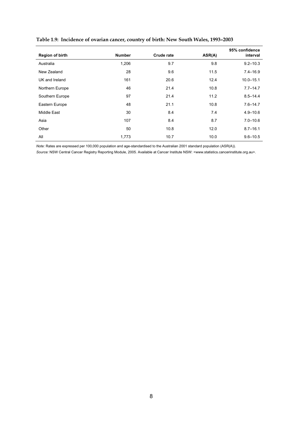| <b>Region of birth</b> | <b>Number</b> | Crude rate | ASR(A) | 95% confidence<br>interval |
|------------------------|---------------|------------|--------|----------------------------|
| Australia              | 1,206         | 9.7        | 9.8    | $9.2 - 10.3$               |
| New Zealand            | 28            | 9.6        | 11.5   | $7.4 - 16.9$               |
| UK and Ireland         | 161           | 20.6       | 12.4   | $10.0 - 15.1$              |
| Northern Europe        | 46            | 21.4       | 10.8   | $7.7 - 14.7$               |
| Southern Europe        | 97            | 21.4       | 11.2   | $8.5 - 14.4$               |
| Eastern Europe         | 48            | 21.1       | 10.8   | $7.6 - 14.7$               |
| Middle East            | 30            | 8.4        | 7.4    | $4.9 - 10.6$               |
| Asia                   | 107           | 8.4        | 8.7    | $7.0 - 10.6$               |
| Other                  | 50            | 10.8       | 12.0   | $8.7 - 16.1$               |
| All                    | 1,773         | 10.7       | 10.0   | $9.6 - 10.5$               |

### **Table 1.9: Incidence of ovarian cancer, country of birth: New South Wales, 1993–2003**

*Note:* Rates are expressed per 100,000 population and age-standardised to the Australian 2001 standard population (ASR(A)).

*Source:* NSW Central Cancer Registry Reporting Module, 2005. Available at Cancer Institute NSW: <www.statistics.cancerinstitute.org.au>.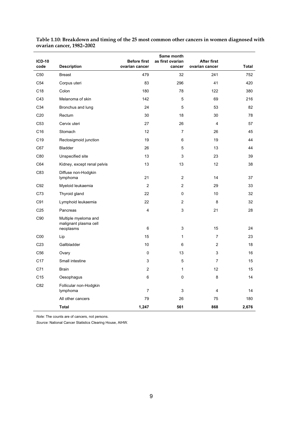| <b>ICD-10</b><br>code | <b>Description</b>                                         | <b>Before first</b><br>ovarian cancer | Same month<br>as first ovarian<br>cancer | <b>After first</b><br>ovarian cancer | Total |
|-----------------------|------------------------------------------------------------|---------------------------------------|------------------------------------------|--------------------------------------|-------|
| C <sub>50</sub>       | <b>Breast</b>                                              | 479                                   | 32                                       | 241                                  | 752   |
| C <sub>54</sub>       | Corpus uteri                                               | 83                                    | 296                                      | 41                                   | 420   |
| C <sub>18</sub>       | Colon                                                      | 180                                   | 78                                       | 122                                  | 380   |
| C43                   | Melanoma of skin                                           | 142                                   | 5                                        | 69                                   | 216   |
| C34                   | Bronchus and lung                                          | 24                                    | 5                                        | 53                                   | 82    |
| C <sub>20</sub>       | Rectum                                                     | 30                                    | 18                                       | 30                                   | 78    |
| C <sub>53</sub>       | Cervix uteri                                               | 27                                    | 26                                       | $\overline{4}$                       | 57    |
| C16                   | Stomach                                                    | 12                                    | $\overline{7}$                           | 26                                   | 45    |
| C <sub>19</sub>       | Rectosigmoid junction                                      | 19                                    | 6                                        | 19                                   | 44    |
| C67                   | <b>Bladder</b>                                             | 26                                    | 5                                        | 13                                   | 44    |
| C80                   | Unspecified site                                           | 13                                    | 3                                        | 23                                   | 39    |
| C64                   | Kidney, except renal pelvis                                | 13                                    | 13                                       | 12                                   | 38    |
| C83                   | Diffuse non-Hodgkin<br>lymphoma                            | 21                                    | 2                                        | 14                                   | 37    |
| C92                   | Myeloid leukaemia                                          | $\overline{2}$                        | 2                                        | 29                                   | 33    |
| C73                   | Thyroid gland                                              | 22                                    | 0                                        | 10                                   | 32    |
| C91                   | Lymphoid leukaemia                                         | 22                                    | 2                                        | 8                                    | 32    |
| C <sub>25</sub>       | Pancreas                                                   | $\overline{4}$                        | 3                                        | 21                                   | 28    |
| C90                   | Multiple myeloma and<br>malignant plasma cell<br>neoplasms | 6                                     | 3                                        | 15                                   | 24    |
| C <sub>00</sub>       | Lip                                                        | 15                                    | 1                                        | $\overline{7}$                       | 23    |
| C <sub>23</sub>       | Gallbladder                                                | 10                                    | 6                                        | $\overline{2}$                       | 18    |
| C <sub>56</sub>       | Ovary                                                      | 0                                     | 13                                       | 3                                    | 16    |
| C <sub>17</sub>       | Small intestine                                            | 3                                     | 5                                        | $\overline{7}$                       | 15    |
| C71                   | <b>Brain</b>                                               | 2                                     | 1                                        | 12                                   | 15    |
| C <sub>15</sub>       | Oesophagus                                                 | 6                                     | 0                                        | 8                                    | 14    |
| C82                   | Follicular non-Hodgkin<br>lymphoma                         | $\overline{7}$                        | 3                                        | 4                                    | 14    |
|                       | All other cancers                                          | 79                                    | 26                                       | 75                                   | 180   |
|                       | <b>Total</b>                                               | 1,247                                 | 561                                      | 868                                  | 2,676 |

**Table 1.10: Breakdown and timing of the 25 most common other cancers in women diagnosed with ovarian cancer, 1982–2002** 

*Note:* The counts are of cancers, not persons.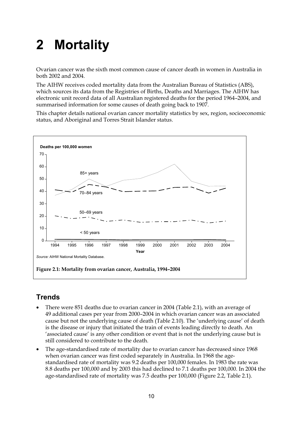## **2 Mortality**

Ovarian cancer was the sixth most common cause of cancer death in women in Australia in both 2002 and 2004.

The AIHW receives coded mortality data from the Australian Bureau of Statistics (ABS), which sources its data from the Registries of Births, Deaths and Marriages. The AIHW has electronic unit record data of all Australian registered deaths for the period 1964–2004, and summarised information for some causes of death going back to 1907.

This chapter details national ovarian cancer mortality statistics by sex, region, socioeconomic status, and Aboriginal and Torres Strait Islander status.



## **Trends**

- There were 851 deaths due to ovarian cancer in 2004 (Table 2.1), with an average of 49 additional cases per year from 2000–2004 in which ovarian cancer was an associated cause but not the underlying cause of death (Table 2.10). The 'underlying cause' of death is the disease or injury that initiated the train of events leading directly to death. An 'associated cause' is any other condition or event that is not the underlying cause but is still considered to contribute to the death.
- The age-standardised rate of mortality due to ovarian cancer has decreased since 1968 when ovarian cancer was first coded separately in Australia. In 1968 the agestandardised rate of mortality was 9.2 deaths per 100,000 females. In 1983 the rate was 8.8 deaths per 100,000 and by 2003 this had declined to 7.1 deaths per 100,000. In 2004 the age-standardised rate of mortality was 7.5 deaths per 100,000 (Figure 2.2, Table 2.1).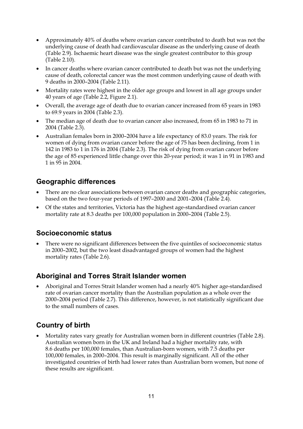- Approximately 40% of deaths where ovarian cancer contributed to death but was not the underlying cause of death had cardiovascular disease as the underlying cause of death (Table 2.9). Ischaemic heart disease was the single greatest contributor to this group (Table 2.10).
- In cancer deaths where ovarian cancer contributed to death but was not the underlying cause of death, colorectal cancer was the most common underlying cause of death with 9 deaths in 2000–2004 (Table 2.11).
- Mortality rates were highest in the older age groups and lowest in all age groups under 40 years of age (Table 2.2, Figure 2.1).
- Overall, the average age of death due to ovarian cancer increased from 65 years in 1983 to 69.9 years in 2004 (Table 2.3).
- The median age of death due to ovarian cancer also increased, from 65 in 1983 to 71 in 2004 (Table 2.3).
- Australian females born in 2000–2004 have a life expectancy of 83.0 years. The risk for women of dying from ovarian cancer before the age of 75 has been declining, from 1 in 142 in 1983 to 1 in 176 in 2004 (Table 2.3). The risk of dying from ovarian cancer before the age of 85 experienced little change over this 20-year period; it was 1 in 91 in 1983 and 1 in 95 in 2004.

## **Geographic differences**

- There are no clear associations between ovarian cancer deaths and geographic categories, based on the two four-year periods of 1997–2000 and 2001–2004 (Table 2.4).
- Of the states and territories, Victoria has the highest age-standardised ovarian cancer mortality rate at 8.3 deaths per 100,000 population in 2000–2004 (Table 2.5).

## **Socioeconomic status**

There were no significant differences between the five quintiles of socioeconomic status in 2000–2002, but the two least disadvantaged groups of women had the highest mortality rates (Table 2.6).

## **Aboriginal and Torres Strait Islander women**

• Aboriginal and Torres Strait Islander women had a nearly 40% higher age-standardised rate of ovarian cancer mortality than the Australian population as a whole over the 2000–2004 period (Table 2.7). This difference, however, is not statistically significant due to the small numbers of cases.

## **Country of birth**

• Mortality rates vary greatly for Australian women born in different countries (Table 2.8). Australian women born in the UK and Ireland had a higher mortality rate, with 8.6 deaths per 100,000 females, than Australian-born women, with 7.5 deaths per 100,000 females, in 2000–2004. This result is marginally significant. All of the other investigated countries of birth had lower rates than Australian born women, but none of these results are significant.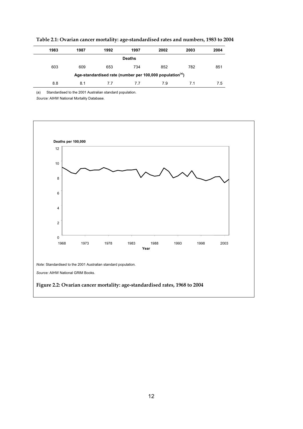| 1983                                                                  | 1987 | 1992 | 1997 | 2002 | 2003 | 2004 |  |  |  |
|-----------------------------------------------------------------------|------|------|------|------|------|------|--|--|--|
| <b>Deaths</b>                                                         |      |      |      |      |      |      |  |  |  |
| 603                                                                   | 609  | 653  | 734  | 852  | 782  | 851  |  |  |  |
| Age-standardised rate (number per 100,000 population <sup>(a)</sup> ) |      |      |      |      |      |      |  |  |  |
| 8.8                                                                   | 8.1  | 7.7  | 7.7  | 7.9  | 7.1  | 7.5  |  |  |  |

**Table 2.1: Ovarian cancer mortality: age-standardised rates and numbers, 1983 to 2004** 

(a) Standardised to the 2001 Australian standard population.

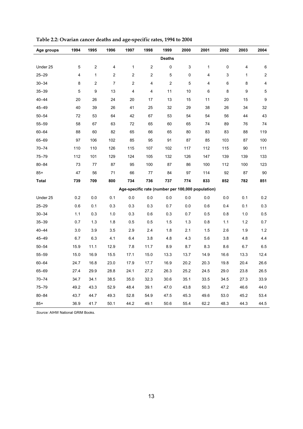| Age groups   | 1994 | 1995                    | 1996 | 1997 | 1998           | 1999                                              | 2000 | 2001         | 2002 | 2003           | 2004 |
|--------------|------|-------------------------|------|------|----------------|---------------------------------------------------|------|--------------|------|----------------|------|
|              |      |                         |      |      |                | <b>Deaths</b>                                     |      |              |      |                |      |
| Under 25     | 5    | $\overline{\mathbf{c}}$ | 4    | 1    | $\mathbf{2}$   | 0                                                 | 3    | $\mathbf{1}$ | 0    | $\overline{4}$ | 6    |
| $25 - 29$    | 4    | 1                       | 2    | 2    | $\overline{2}$ | 5                                                 | 0    | 4            | 3    | 1              | 2    |
| $30 - 34$    | 8    | 2                       | 7    | 2    | 4              | $\overline{2}$                                    | 5    | 4            | 6    | 8              | 4    |
| $35 - 39$    | 5    | 9                       | 13   | 4    | 4              | 11                                                | 10   | 6            | 8    | 9              | 5    |
| $40 - 44$    | 20   | 26                      | 24   | 20   | 17             | 13                                                | 15   | 11           | 20   | 15             | 9    |
| $45 - 49$    | 40   | 39                      | 26   | 41   | 25             | 32                                                | 29   | 38           | 26   | 34             | 32   |
| $50 - 54$    | 72   | 53                      | 64   | 42   | 67             | 53                                                | 54   | 54           | 56   | 44             | 43   |
| $55 - 59$    | 58   | 67                      | 63   | 72   | 65             | 60                                                | 65   | 74           | 89   | 76             | 74   |
| $60 - 64$    | 88   | 60                      | 82   | 65   | 66             | 65                                                | 80   | 83           | 83   | 88             | 119  |
| 65-69        | 97   | 106                     | 102  | 85   | 95             | 91                                                | 87   | 85           | 103  | 87             | 100  |
| $70 - 74$    | 110  | 110                     | 126  | 115  | 107            | 102                                               | 117  | 112          | 115  | 90             | 111  |
| 75-79        | 112  | 101                     | 129  | 124  | 105            | 132                                               | 126  | 147          | 139  | 139            | 133  |
| $80 - 84$    | 73   | 77                      | 87   | 95   | 100            | 87                                                | 86   | 100          | 112  | 100            | 123  |
| $85+$        | 47   | 56                      | 71   | 66   | 77             | 84                                                | 97   | 114          | 92   | 87             | 90   |
| <b>Total</b> | 739  | 709                     | 800  | 734  | 736            | 737                                               | 774  | 833          | 852  | 782            | 851  |
|              |      |                         |      |      |                | Age-specific rate (number per 100,000 population) |      |              |      |                |      |
| Under 25     | 0.2  | 0.0                     | 0.1  | 0.0  | 0.0            | 0.0                                               | 0.0  | 0.0          | 0.0  | 0.1            | 0.2  |
| $25 - 29$    | 0.6  | 0.1                     | 0.3  | 0.3  | 0.3            | 0.7                                               | 0.0  | 0.6          | 0.4  | 0.1            | 0.3  |
| $30 - 34$    | 1.1  | 0.3                     | 1.0  | 0.3  | 0.6            | 0.3                                               | 0.7  | 0.5          | 0.8  | 1.0            | 0.5  |
| $35 - 39$    | 0.7  | 1.3                     | 1.8  | 0.5  | 0.5            | 1.5                                               | 1.3  | 0.8          | 1.1  | $1.2$          | 0.7  |
| $40 - 44$    | 3.0  | 3.9                     | 3.5  | 2.9  | 2.4            | 1.8                                               | 2.1  | 1.5          | 2.6  | 1.9            | 1.2  |
| $45 - 49$    | 6.7  | 6.3                     | 4.1  | 6.4  | 3.8            | 4.8                                               | 4.3  | 5.6          | 3.8  | 4.8            | 4.4  |
| $50 - 54$    | 15.9 | 11.1                    | 12.9 | 7.8  | 11.7           | 8.9                                               | 8.7  | 8.3          | 8.6  | 6.7            | 6.5  |
| $55 - 59$    | 15.0 | 16.9                    | 15.5 | 17.1 | 15.0           | 13.3                                              | 13.7 | 14.9         | 16.6 | 13.3           | 12.4 |
| $60 - 64$    | 24.7 | 16.8                    | 23.0 | 17.9 | 17.7           | 16.9                                              | 20.2 | 20.3         | 19.8 | 20.4           | 26.6 |
| 65-69        | 27.4 | 29.9                    | 28.8 | 24.1 | 27.2           | 26.3                                              | 25.2 | 24.5         | 29.0 | 23.8           | 26.5 |
| $70 - 74$    | 34.7 | 34.1                    | 38.5 | 35.0 | 32.3           | 30.6                                              | 35.1 | 33.5         | 34.5 | 27.3           | 33.9 |
| 75-79        | 49.2 | 43.3                    | 52.9 | 48.4 | 39.1           | 47.0                                              | 43.8 | 50.3         | 47.2 | 46.6           | 44.0 |
| $80 - 84$    | 43.7 | 44.7                    | 49.3 | 52.8 | 54.9           | 47.5                                              | 45.3 | 49.6         | 53.0 | 45.2           | 53.4 |
| $85+$        | 36.9 | 41.7                    | 50.1 | 44.2 | 49.1           | 50.6                                              | 55.4 | 62.2         | 48.3 | 44.3           | 44.5 |

**Table 2.2: Ovarian cancer deaths and age-specific rates, 1994 to 2004** 

*Source:* AIHW National GRIM Books.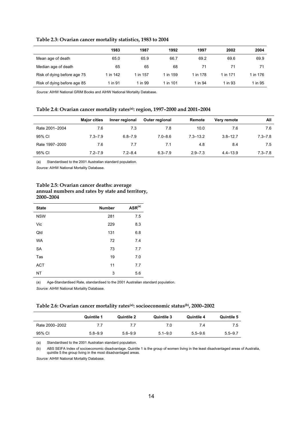|                             | 1983     | 1987     | 1992     | 1997     | 2002     | 2004     |
|-----------------------------|----------|----------|----------|----------|----------|----------|
| Mean age of death           | 65.0     | 65.9     | 66.7     | 69.2     | 69.6     | 69.9     |
| Median age of death         | 65       | 65       | 68       | 71       | 71       | 71       |
| Risk of dying before age 75 | 1 in 142 | 1 in 157 | 1 in 159 | 1 in 178 | 1 in 171 | 1 in 176 |
| Risk of dying before age 85 | 1 in 91  | 1 in 99  | 1 in 101 | 1 in 94  | 1 in 93  | 1 in 95  |

*Source:* AIHW National GRIM Books and AIHW National Mortality Database.

| Table 2.4: Ovarian cancer mortality rates <sup>(a)</sup> : region, 1997-2000 and 2001-2004 |
|--------------------------------------------------------------------------------------------|
|                                                                                            |

|                | <b>Major cities</b> | Inner regional | <b>Outer regional</b> | Remote       | Very remote  | All         |
|----------------|---------------------|----------------|-----------------------|--------------|--------------|-------------|
| Rate 2001-2004 | 7.6                 | 7.3            | 7.8                   | 10.0         | 7.6          | 7.6         |
| 95% CI         | $7.3 - 7.9$         | $6.8 - 7.9$    | $7.0 - 8.6$           | $7.3 - 13.2$ | $3.8 - 12.7$ | $7.3 - 7.8$ |
| Rate 1997-2000 | 7.6                 | 7.7            | 7.1                   | 4.8          | 8.4          | 7.5         |
| 95% CI         | $7.2 - 7.9$         | $7.2 - 8.4$    | $6.3 - 7.9$           | $2.9 - 7.3$  | $4.4 - 13.9$ | $7.3 - 7.8$ |

(a) Standardised to the 2001 Australian standard population.

*Source:* AIHW National Mortality Database.

l,

#### **Table 2.5: Ovarian cancer deaths: average annual numbers and rates by state and territory, 2000–2004**

| <b>State</b> | <b>Number</b> | $\mathsf{ASR}^{(\mathrm{a})}$ |
|--------------|---------------|-------------------------------|
| <b>NSW</b>   | 281           | 7.5                           |
| Vic          | 229           | 8.3                           |
| Qld          | 131           | 6.8                           |
| <b>WA</b>    | 72            | 7.4                           |
| <b>SA</b>    | 73            | 7.7                           |
| Tas          | 19            | 7.0                           |
| <b>ACT</b>   | 11            | 7.7                           |
| <b>NT</b>    | 3             | 5.6                           |

(a) Age-Standardised Rate, standardised to the 2001 Australian standard population.

*Source:* AIHW National Mortality Database.

| Table 2.6: Ovarian cancer mortality rates <sup>(a)</sup> : socioeconomic status <sup>(b)</sup> , 2000–2002 |  |  |  |  |  |
|------------------------------------------------------------------------------------------------------------|--|--|--|--|--|
|------------------------------------------------------------------------------------------------------------|--|--|--|--|--|

|                | Quintile 1  | Quintile 2  | <b>Quintile 3</b> | Quintile 4  | Quintile 5  |
|----------------|-------------|-------------|-------------------|-------------|-------------|
| Rate 2000-2002 | 77          | 77          | 7.0               | 7.4         | 7.5         |
| 95% CI         | $5.8 - 9.9$ | $5.6 - 9.9$ | $5.1 - 9.0$       | $5.5 - 9.6$ | $5.5 - 9.7$ |

(a) Standardised to the 2001 Australian standard population.

(b) ABS SEIFA Index of socioeconomic disadvantage. Quintile 1 is the group of women living in the least disadvantaged areas of Australia, quintile 5 the group living in the most disadvantaged areas.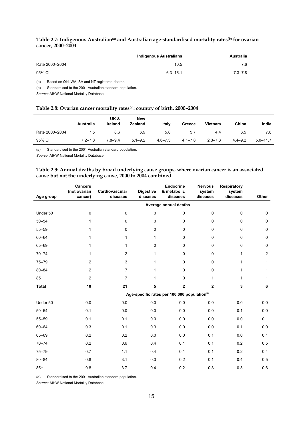#### **Table 2.7: Indigenous Australian(a) and Australian age-standardised mortality rates(b) for ovarian cancer, 2000–2004**

|                | <b>Indigenous Australians</b> | Australia   |
|----------------|-------------------------------|-------------|
| Rate 2000–2004 | 10.5                          | 7.6         |
| 95% CI         | $6.3 - 16.1$                  | $7.3 - 7.8$ |

(a) Based on Qld, WA, SA and NT registered deaths.

(b) Standardised to the 2001 Australian standard population.

*Source:* AIHW National Mortality Database.

#### **Table 2.8: Ovarian cancer mortality rates(a): country of birth, 2000–2004**

|                | Australia   | <b>UK &amp;</b><br><b>Ireland</b> | <b>New</b><br><b>Zealand</b> | Italy       | Greece      | Vietnam     | China       | India        |
|----------------|-------------|-----------------------------------|------------------------------|-------------|-------------|-------------|-------------|--------------|
| Rate 2000-2004 | 7.5         | 8.6                               | 6.9                          | 5.8         | 5.7         | 4.4         | 6.5         | 7.8          |
| 95% CI         | $7.2 - 7.8$ | $7.8 - 9.4$                       | $5.1 - 9.2$                  | $4.6 - 7.3$ | $4.1 - 7.8$ | $2.3 - 7.3$ | $4.4 - 9.2$ | $5.0 - 11.7$ |

(a) Standardised to the 2001 Australian standard population.

*Source:* AIHW National Mortality Database.

#### **Table 2.9: Annual deaths by broad underlying cause groups, where ovarian cancer is an associated cause but not the underlying cause, 2000 to 2004 combined**

|              | <b>Cancers</b>          |                            |                              | <b>Endocrine</b>                                         | <b>Nervous</b>     | <b>Respiratory</b> |             |
|--------------|-------------------------|----------------------------|------------------------------|----------------------------------------------------------|--------------------|--------------------|-------------|
| Age group    | (not ovarian<br>cancer) | Cardiovascular<br>diseases | <b>Digestive</b><br>diseases | & metabolic<br>diseases                                  | system<br>diseases | system<br>diseases | Other       |
|              |                         |                            |                              |                                                          |                    |                    |             |
|              |                         |                            |                              | Average annual deaths                                    |                    |                    |             |
| Under 50     | $\mathbf 0$             | 0                          | $\mathbf 0$                  | 0                                                        | $\pmb{0}$          | $\mathbf 0$        | $\mathbf 0$ |
| $50 - 54$    | 1                       | 0                          | 0                            | 0                                                        | 0                  | 0                  | 0           |
| $55 - 59$    | 1                       | 0                          | 0                            | 0                                                        | 0                  | $\mathbf 0$        | 0           |
| $60 - 64$    | 1                       | 1                          | 1                            | 0                                                        | $\pmb{0}$          | $\mathbf 0$        | $\pmb{0}$   |
| 65-69        | 1                       | 1                          | 0                            | 0                                                        | $\pmb{0}$          | 0                  | $\mathsf 0$ |
| $70 - 74$    | 1                       | 2                          | 1                            | 0                                                        | $\pmb{0}$          | 1                  | $\mathbf 2$ |
| $75 - 79$    | $\overline{2}$          | 3                          | 1                            | 0                                                        | $\mathbf 0$        | 1                  | 1           |
| $80 - 84$    | $\overline{2}$          | $\overline{7}$             | 1                            | 0                                                        | 0                  | 1                  | 1           |
| $85+$        | $\overline{2}$          | $\overline{7}$             | 1                            | 0                                                        | 1                  | 1                  | 1           |
| <b>Total</b> | 10                      | 21                         | 5                            | $\overline{2}$                                           | $\mathbf{2}$       | 3                  | 6           |
|              |                         |                            |                              | Age-specific rates per 100,000 population <sup>(a)</sup> |                    |                    |             |
| Under 50     | 0.0                     | 0.0                        | $0.0\,$                      | 0.0                                                      | 0.0                | 0.0                | 0.0         |
| $50 - 54$    | 0.1                     | 0.0                        | 0.0                          | 0.0                                                      | 0.0                | 0.1                | 0.0         |
| $55 - 59$    | 0.1                     | 0.1                        | 0.0                          | 0.0                                                      | 0.0                | 0.0                | 0.1         |
| $60 - 64$    | 0.3                     | 0.1                        | 0.3                          | 0.0                                                      | 0.0                | 0.1                | 0.0         |
| 65-69        | 0.2                     | 0.2                        | 0.0                          | 0.0                                                      | 0.1                | 0.0                | 0.1         |
| $70 - 74$    | 0.2                     | 0.6                        | 0.4                          | 0.1                                                      | 0.1                | 0.2                | 0.5         |
| $75 - 79$    | 0.7                     | 1.1                        | 0.4                          | 0.1                                                      | 0.1                | 0.2                | 0.4         |
| $80 - 84$    | 0.8                     | 3.1                        | 0.3                          | 0.2                                                      | 0.1                | 0.4                | 0.5         |
| $85+$        | 0.8                     | 3.7                        | 0.4                          | 0.2                                                      | 0.3                | 0.3                | 0.6         |

(a) Standardised to the 2001 Australian standard population.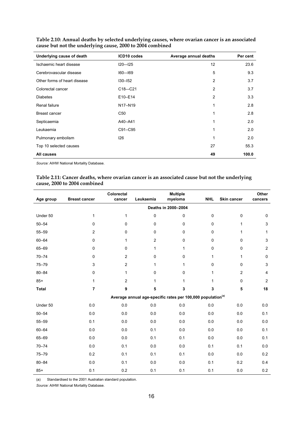| Underlying cause of death    | ICD10 codes                      | Average annual deaths | Per cent |
|------------------------------|----------------------------------|-----------------------|----------|
| Ischaemic heart disease      | $120 - 125$                      | 12                    | 23.6     |
| Cerebrovascular disease      | $160 - 169$                      | 5                     | 9.3      |
| Other forms of heart disease | $130 - 152$                      | $\overline{2}$        | 3.7      |
| Colorectal cancer            | $C18 - C21$                      | 2                     | 3.7      |
| <b>Diabetes</b>              | E10-E14                          | 2                     | 3.3      |
| Renal failure                | N <sub>17</sub> -N <sub>19</sub> | 1                     | 2.8      |
| <b>Breast cancer</b>         | C <sub>50</sub>                  | 1                     | 2.8      |
| Septicaemia                  | A40-A41                          | 1                     | 2.0      |
| Leukaemia                    | C91-C95                          | 1                     | 2.0      |
| Pulmonary embolism           | 126                              | 1                     | 2.0      |
| Top 10 selected causes       |                                  | 27                    | 55.3     |
| All causes                   |                                  | 49                    | 100.0    |

**Table 2.10: Annual deaths by selected underlying causes, where ovarian cancer is an associated cause but not the underlying cause, 2000 to 2004 combined** 

*Source:* AIHW National Mortality Database.

#### **Table 2.11: Cancer deaths, where ovarian cancer is an associated cause but not the underlying cause, 2000 to 2004 combined**

| Age group    | <b>Breast cancer</b> | Colorectal<br>cancer | Leukaemia                                                               | <b>Multiple</b><br>myeloma | <b>NHL</b> | <b>Skin cancer</b> | Other<br>cancers          |
|--------------|----------------------|----------------------|-------------------------------------------------------------------------|----------------------------|------------|--------------------|---------------------------|
|              |                      |                      |                                                                         | Deaths in 2000-2004        |            |                    |                           |
|              |                      |                      |                                                                         |                            |            |                    |                           |
| Under 50     | 1                    | 1                    | 0                                                                       | $\pmb{0}$                  | $\pmb{0}$  | $\pmb{0}$          | $\mathsf 0$               |
| $50 - 54$    | $\Omega$             | 0                    | 0                                                                       | $\mathbf 0$                | 0          | $\mathbf{1}$       | 3                         |
| $55 - 59$    | $\overline{2}$       | $\mathsf 0$          | 0                                                                       | $\mathbf 0$                | 0          | $\mathbf{1}$       | 1                         |
| $60 - 64$    | $\pmb{0}$            | 1                    | $\boldsymbol{2}$                                                        | $\pmb{0}$                  | 0          | $\pmb{0}$          | 3                         |
| 65-69        | 0                    | 0                    | 1                                                                       | 1                          | 0          | $\mathbf 0$        | $\overline{2}$            |
| $70 - 74$    | 0                    | $\overline{2}$       | 0                                                                       | $\pmb{0}$                  | 1          | $\mathbf{1}$       | $\pmb{0}$                 |
| $75 - 79$    | 3                    | $\overline{2}$       | 1                                                                       | 1                          | 0          | $\mathbf 0$        | $\ensuremath{\mathsf{3}}$ |
| $80 - 84$    | 0                    | 1                    | 0                                                                       | $\mathbf 0$                | 1          | $\overline{2}$     | $\overline{4}$            |
| $85+$        | 1                    | $\overline{2}$       | $\mathbf{1}$                                                            | 1                          | 1          | $\mathbf 0$        | $\overline{2}$            |
| <b>Total</b> | $\overline{7}$       | 9                    | 5                                                                       | 3                          | 3          | 5                  | 18                        |
|              |                      |                      | Average annual age-specific rates per 100,000 population <sup>(a)</sup> |                            |            |                    |                           |
| Under 50     | 0.0                  | 0.0                  | 0.0                                                                     | 0.0                        | 0.0        | 0.0                | 0.0                       |
| $50 - 54$    | 0.0                  | 0.0                  | $0.0\,$                                                                 | 0.0                        | 0.0        | 0.0                | 0.1                       |
| $55 - 59$    | 0.1                  | 0.0                  | 0.0                                                                     | 0.0                        | 0.0        | 0.0                | 0.0                       |
| $60 - 64$    | 0.0                  | 0.0                  | 0.1                                                                     | 0.0                        | 0.0        | 0.0                | 0.1                       |
| 65-69        | 0.0                  | 0.0                  | 0.1                                                                     | 0.1                        | 0.0        | 0.0                | 0.1                       |
| $70 - 74$    | 0.0                  | 0.1                  | 0.0                                                                     | 0.0                        | 0.1        | 0.1                | 0.0                       |
| $75 - 79$    | 0.2                  | 0.1                  | 0.1                                                                     | 0.1                        | 0.0        | 0.0                | 0.2                       |
| $80 - 84$    | 0.0                  | 0.1                  | 0.0                                                                     | 0.0                        | 0.1        | 0.2                | 0.4                       |
| $85+$        | 0.1                  | 0.2                  | 0.1                                                                     | 0.1                        | 0.1        | 0.0                | 0.2                       |

(a) Standardised to the 2001 Australian standard population.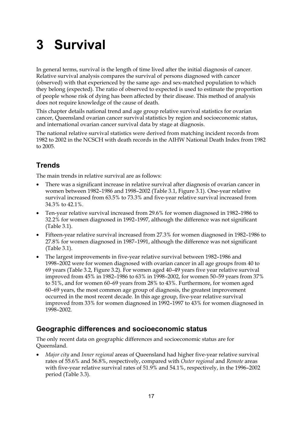## **3 Survival**

In general terms, survival is the length of time lived after the initial diagnosis of cancer. Relative survival analysis compares the survival of persons diagnosed with cancer (observed) with that experienced by the same age- and sex-matched population to which they belong (expected). The ratio of observed to expected is used to estimate the proportion of people whose risk of dying has been affected by their disease. This method of analysis does not require knowledge of the cause of death.

This chapter details national trend and age group relative survival statistics for ovarian cancer, Queensland ovarian cancer survival statistics by region and socioeconomic status, and international ovarian cancer survival data by stage at diagnosis.

The national relative survival statistics were derived from matching incident records from 1982 to 2002 in the NCSCH with death records in the AIHW National Death Index from 1982 to 2005.

## **Trends**

The main trends in relative survival are as follows:

- There was a significant increase in relative survival after diagnosis of ovarian cancer in women between 1982–1986 and 1998–2002 (Table 3.1, Figure 3.1). One-year relative survival increased from 63.5% to 73.3% and five-year relative survival increased from 34.3% to 42.1%.
- Ten-year relative survival increased from 29.6% for women diagnosed in 1982–1986 to 32.2% for women diagnosed in 1992–1997, although the difference was not significant (Table 3.1).
- Fifteen-year relative survival increased from 27.3% for women diagnosed in 1982–1986 to 27.8% for women diagnosed in 1987–1991, although the difference was not significant (Table 3.1).
- The largest improvements in five-year relative survival between 1982–1986 and 1998–2002 were for women diagnosed with ovarian cancer in all age groups from 40 to 69 years (Table 3.2, Figure 3.2). For women aged 40–49 years five year relative survival improved from 45% in 1982–1986 to 63% in 1998–2002, for women 50–59 years from 37% to 51%, and for women 60–69 years from 28% to 43%. Furthermore, for women aged 60–69 years, the most common age group of diagnosis, the greatest improvement occurred in the most recent decade. In this age group, five-year relative survival improved from 33% for women diagnosed in 1992–1997 to 43% for women diagnosed in 1998–2002.

## **Geographic differences and socioeconomic status**

The only recent data on geographic differences and socioeconomic status are for Queensland.

• *Major city* and *Inner regional* areas of Queensland had higher five-year relative survival rates of 55.6% and 56.8%, respectively, compared with *Outer regional* and *Remote* areas with five-year relative survival rates of 51.9% and 54.1%, respectively, in the 1996–2002 period (Table 3.3).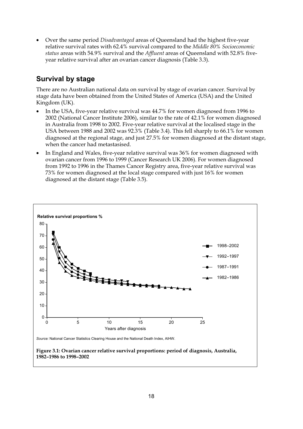• Over the same period *Disadvantaged* areas of Queensland had the highest five-year relative survival rates with 62.4% survival compared to the *Middle 80% Socioeconomic status* areas with 54.9% survival and the *Affluent* areas of Queensland with 52.8% fiveyear relative survival after an ovarian cancer diagnosis (Table 3.3).

### **Survival by stage**

There are no Australian national data on survival by stage of ovarian cancer. Survival by stage data have been obtained from the United States of America (USA) and the United Kingdom (UK).

- In the USA, five-year relative survival was 44.7% for women diagnosed from 1996 to 2002 (National Cancer Institute 2006), similar to the rate of 42.1% for women diagnosed in Australia from 1998 to 2002. Five-year relative survival at the localised stage in the USA between 1988 and 2002 was 92.3% (Table 3.4). This fell sharply to 66.1% for women diagnosed at the regional stage, and just 27.5% for women diagnosed at the distant stage, when the cancer had metastasised.
- In England and Wales, five-year relative survival was 36% for women diagnosed with ovarian cancer from 1996 to 1999 (Cancer Research UK 2006). For women diagnosed from 1992 to 1996 in the Thames Cancer Registry area, five-year relative survival was 73% for women diagnosed at the local stage compared with just 16% for women diagnosed at the distant stage (Table 3.5).

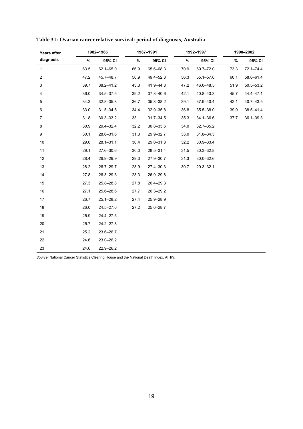| Years after    |      | 1982-1986     |      | 1987-1991     |      | 1992-1997     |      | 1998-2002     |
|----------------|------|---------------|------|---------------|------|---------------|------|---------------|
| diagnosis      | %    | 95% CI        | %    | 95% CI        | %    | 95% CI        | %    | 95% CI        |
| $\mathbf{1}$   | 63.5 | $62.1 - 65.0$ | 66.9 | 65.6-68.3     | 70.9 | 69.7-72.0     | 73.3 | $72.1 - 74.4$ |
| $\overline{2}$ | 47.2 | 45.7-48.7     | 50.9 | $49.4 - 52.3$ | 56.3 | $55.1 - 57.6$ | 60.1 | 58.8-61.4     |
| 3              | 39.7 | $38.2 - 41.2$ | 43.3 | 41.9-44.8     | 47.2 | 46.0-48.5     | 51.9 | $50.5 - 53.2$ |
| 4              | 36.0 | $34.5 - 37.5$ | 39.2 | $37.8 - 40.6$ | 42.1 | 40.8-43.3     | 45.7 | 44.4-47.1     |
| 5              | 34.3 | $32.8 - 35.8$ | 36.7 | $35.3 - 38.2$ | 39.1 | 37.9-40.4     | 42.1 | $40.7 - 43.5$ |
| 6              | 33.0 | $31.5 - 34.5$ | 34.4 | 32.9 - 35.8   | 36.8 | 35.5-38.0     | 39.9 | $38.5 - 41.4$ |
| $\overline{7}$ | 31.8 | $30.3 - 33.2$ | 33.1 | $31.7 - 34.5$ | 35.3 | $34.1 - 36.6$ | 37.7 | $36.1 - 39.3$ |
| 8              | 30.9 | 29.4-32.4     | 32.2 | $30.8 - 33.6$ | 34.0 | $32.7 - 35.2$ |      |               |
| 9              | 30.1 | 28.6-31.6     | 31.3 | 29.9-32.7     | 33.0 | $31.8 - 34.3$ |      |               |
| 10             | 29.6 | $28.1 - 31.1$ | 30.4 | $29.0 - 31.8$ | 32.2 | $30.9 - 33.4$ |      |               |
| 11             | 29.1 | 27.6-30.6     | 30.0 | $28.5 - 31.4$ | 31.5 | $30.3 - 32.8$ |      |               |
| 12             | 28.4 | 26.9-29.9     | 29.3 | 27.9-30.7     | 31.3 | $30.0 - 32.6$ |      |               |
| 13             | 28.2 | $26.7 - 29.7$ | 28.9 | $27.4 - 30.3$ | 30.7 | $29.3 - 32.1$ |      |               |
| 14             | 27.8 | $26.3 - 29.3$ | 28.3 | $26.9 - 29.8$ |      |               |      |               |
| 15             | 27.3 | 25.8-28.8     | 27.8 | $26.4 - 29.3$ |      |               |      |               |
| 16             | 27.1 | 25.6-28.6     | 27.7 | $26.3 - 29.2$ |      |               |      |               |
| 17             | 26.7 | $25.1 - 28.2$ | 27.4 | 25.9-28.9     |      |               |      |               |
| 18             | 26.0 | $24.5 - 27.6$ | 27.2 | $25.6 - 28.7$ |      |               |      |               |
| 19             | 25.9 | $24.4 - 27.5$ |      |               |      |               |      |               |
| 20             | 25.7 | $24.2 - 27.3$ |      |               |      |               |      |               |
| 21             | 25.2 | $23.6 - 26.7$ |      |               |      |               |      |               |
| 22             | 24.6 | $23.0 - 26.2$ |      |               |      |               |      |               |
| 23             | 24.6 | $22.9 - 26.2$ |      |               |      |               |      |               |

**Table 3.1: Ovarian cancer relative survival: period of diagnosis, Australia** 

*Source:* National Cancer Statistics Clearing House and the National Death Index, AIHW.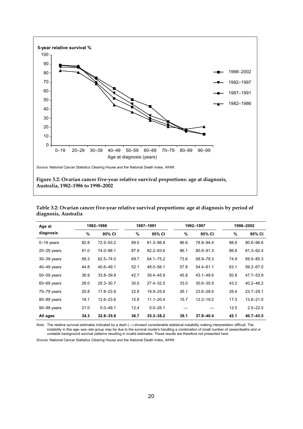

**Australia, 1982–1986 to 1998–2002** 

| Age at          |      | 1982-1986     |      | 1987-1991     |      | 1992-1997     |      | 1998-2002     |
|-----------------|------|---------------|------|---------------|------|---------------|------|---------------|
| diagnosis       | $\%$ | 95% CI        | %    | 95% CI        | $\%$ | 95% CI        | $\%$ | 95% CI        |
| $0-19$ years    | 82.8 | 72.5-93.2     | 89.0 | 81.3-96.8     | 86.6 | 78.8-94.4     | 88.6 | 80.6-96.6     |
| $20 - 29$ years | 81.0 | 74.0-88.1     | 87.9 | $82.2 - 93.6$ | 86.1 | 80.8-91.3     | 86.8 | 81.3-92.4     |
| $30 - 39$ years | 68.3 | 62.5-74.0     | 69.7 | $64.1 - 75.2$ | 73.6 | 68.9-78.3     | 74.9 | 69.5-80.3     |
| $40-49$ years   | 44.8 | $40.6 - 49.1$ | 52.1 | $48.0 - 56.1$ | 57.8 | $54.4 - 61.1$ | 63.1 | $59.2 - 67.0$ |
| $50 - 59$ years | 36.9 | $33.8 - 39.9$ | 42.7 | $39.4 - 45.9$ | 45.8 | $43.1 - 48.6$ | 50.8 | 47.7-53.9     |
| $60 - 69$ years | 28.0 | $25.3 - 30.7$ | 30.0 | $27.4 - 32.5$ | 33.0 | $30.6 - 35.5$ | 43.2 | $40.2 - 46.2$ |
| $70 - 79$ years | 20.8 | 17.8-23.9     | 22.8 | 19.9-25.6     | 26.1 | $23.6 - 28.6$ | 26.4 | $23.7 - 29.1$ |
| 80-89 years     | 18.1 | $12.6 - 23.6$ | 15.8 | $11.1 - 20.4$ | 15.7 | $12.2 - 19.2$ | 17.3 | $13.6 - 21.0$ |
| $90 - 99$ years | 21.0 | $0.0 - 49.1$  | 12.4 | $0.0 - 26.1$  |      |               | 12.5 | $2.5 - 22.5$  |
| All ages        | 34.3 | $32.8 - 35.8$ | 36.7 | $35.3 - 38.2$ | 39.1 | $37.9 - 40.4$ | 42.1 | $40.7 - 43.5$ |

**Table 3.2: Ovarian cancer five-year relative survival proportions: age at diagnosis by period of diagnosis, Australia** 

*Note:* The relative survival estimates indicated by a dash (—) showed considerable statistical instability making interpretation difficult. The instability in this age–sex–site group may be due to the survival model's handling a combination of small number of cases/deaths and or unstable background survival patterns resulting in invalid estimates. These results are therefore not presented here.

*Source:* National Cancer Statistics Clearing House and the National Death Index, AIHW.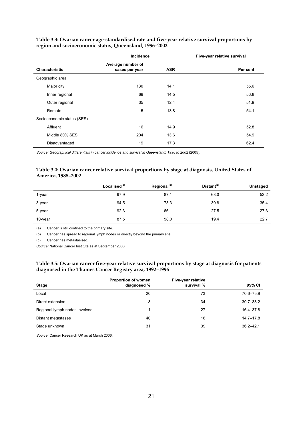|                            | Incidence                           |            | Five-year relative survival |
|----------------------------|-------------------------------------|------------|-----------------------------|
| <b>Characteristic</b>      | Average number of<br>cases per year | <b>ASR</b> | Per cent                    |
| Geographic area            |                                     |            |                             |
| Major city                 | 130                                 | 14.1       | 55.6                        |
| Inner regional             | 69                                  | 14.5       | 56.8                        |
| Outer regional             | 35                                  | 12.4       | 51.9                        |
| Remote                     | 5                                   | 13.8       | 54.1                        |
| Socioeconomic status (SES) |                                     |            |                             |
| Affluent                   | 16                                  | 14.9       | 52.8                        |
| Middle 80% SES             | 204                                 | 13.6       | 54.9                        |
| Disadvantaged              | 19                                  | 17.3       | 62.4                        |

#### **Table 3.3: Ovarian cancer age-standardised rate and five-year relative survival proportions by region and socioeconomic status, Queensland, 1996–2002**

*Source: Geographical differentials in cancer incidence and survival in Queensland, 1996 to 2002* (2005).

#### **Table 3.4: Ovarian cancer relative survival proportions by stage at diagnosis, United States of America, 1988–2002**

|         | Localised <sup>(a)</sup> | Regional <sup>(b)</sup> | Distant <sup>(c)</sup> | Unstaged |
|---------|--------------------------|-------------------------|------------------------|----------|
| 1-year  | 97.9                     | 87.1                    | 68.0                   | 52.2     |
| 3-year  | 94.5                     | 73.3                    | 39.8                   | 35.4     |
| 5-year  | 92.3                     | 66.1                    | 27.5                   | 27.3     |
| 10-year | 87.5                     | 58.0                    | 19.4                   | 22.7     |

(a) Cancer is still confined to the primary site.

(b) Cancer has spread to regional lymph nodes or directly beyond the primary site.

(c) Cancer has metastasised.

*Source:* National Cancer Institute as at September 2006.

#### **Table 3.5: Ovarian cancer five-year relative survival proportions by stage at diagnosis for patients diagnosed in the Thames Cancer Registry area, 1992–1996**

| <b>Stage</b>                  | <b>Proportion of women</b><br>diagnosed % | Five-year relative<br>survival % | 95% CI        |
|-------------------------------|-------------------------------------------|----------------------------------|---------------|
| Local                         | 20                                        | 73                               | 70.6-75.9     |
|                               |                                           |                                  |               |
| Direct extension              | 8                                         | 34                               | $30.7 - 38.2$ |
| Regional lymph nodes involved |                                           | 27                               | $16.4 - 37.8$ |
| Distant metastases            | 40                                        | 16                               | $14.7 - 17.8$ |
| Stage unknown                 | 31                                        | 39                               | $36.2 - 42.1$ |

*Source:* Cancer Research UK as at March 2006.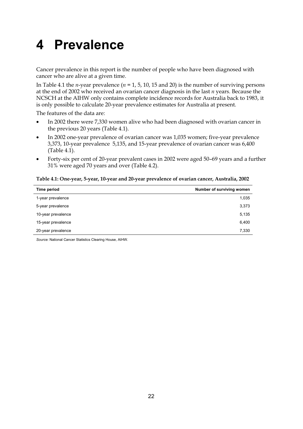## **4 Prevalence**

Cancer prevalence in this report is the number of people who have been diagnosed with cancer who are alive at a given time.

In Table 4.1 the *n*-year prevalence (*n* = 1, 5, 10, 15 and 20) is the number of surviving persons at the end of 2002 who received an ovarian cancer diagnosis in the last *n* years. Because the NCSCH at the AIHW only contains complete incidence records for Australia back to 1983, it is only possible to calculate 20-year prevalence estimates for Australia at present.

The features of the data are:

- In 2002 there were 7,330 women alive who had been diagnosed with ovarian cancer in the previous 20 years (Table 4.1).
- In 2002 one-year prevalence of ovarian cancer was 1,035 women; five-year prevalence 3,373, 10-year prevalence 5,135, and 15-year prevalence of ovarian cancer was 6,400 (Table 4.1).
- Forty-six per cent of 20-year prevalent cases in 2002 were aged 50–69 years and a further 31% were aged 70 years and over (Table 4.2).

| Time period        | Number of surviving women |
|--------------------|---------------------------|
| 1-year prevalence  | 1,035                     |
| 5-year prevalence  | 3,373                     |
| 10-year prevalence | 5,135                     |
| 15-year prevalence | 6,400                     |
| 20-year prevalence | 7,330                     |

#### **Table 4.1: One-year, 5-year, 10-year and 20-year prevalence of ovarian cancer, Australia, 2002**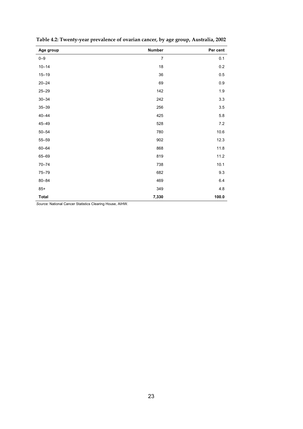| Age group    | <b>Number</b>  | Per cent |
|--------------|----------------|----------|
| $0 - 9$      | $\overline{7}$ | 0.1      |
| $10 - 14$    | 18             | 0.2      |
| $15 - 19$    | 36             | 0.5      |
| $20 - 24$    | 69             | 0.9      |
| $25 - 29$    | 142            | 1.9      |
| $30 - 34$    | 242            | $3.3\,$  |
| $35 - 39$    | 256            | 3.5      |
| $40 - 44$    | 425            | $5.8\,$  |
| 45-49        | 528            | $7.2\,$  |
| $50 - 54$    | 780            | 10.6     |
| $55 - 59$    | 902            | 12.3     |
| $60 - 64$    | 868            | 11.8     |
| 65-69        | 819            | 11.2     |
| $70 - 74$    | 738            | 10.1     |
| $75 - 79$    | 682            | 9.3      |
| $80 - 84$    | 469            | 6.4      |
| $85+$        | 349            | 4.8      |
| <b>Total</b> | 7,330          | 100.0    |

**Table 4.2: Twenty-year prevalence of ovarian cancer, by age group, Australia, 2002**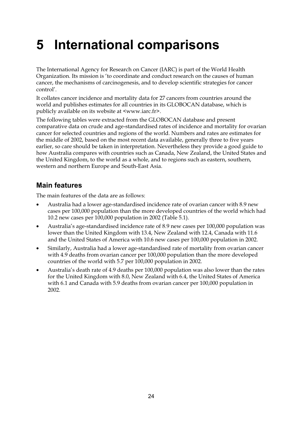## **5 International comparisons**

The International Agency for Research on Cancer (IARC) is part of the World Health Organization. Its mission is 'to coordinate and conduct research on the causes of human cancer, the mechanisms of carcinogenesis, and to develop scientific strategies for cancer control'.

It collates cancer incidence and mortality data for 27 cancers from countries around the world and publishes estimates for all countries in its GLOBOCAN database, which is publicly available on its website at <www.iarc.fr>.

The following tables were extracted from the GLOBOCAN database and present comparative data on crude and age-standardised rates of incidence and mortality for ovarian cancer for selected countries and regions of the world. Numbers and rates are estimates for the middle of 2002, based on the most recent data available, generally three to five years earlier, so care should be taken in interpretation. Nevertheless they provide a good guide to how Australia compares with countries such as Canada, New Zealand, the United States and the United Kingdom, to the world as a whole, and to regions such as eastern, southern, western and northern Europe and South-East Asia.

## **Main features**

The main features of the data are as follows:

- Australia had a lower age-standardised incidence rate of ovarian cancer with 8.9 new cases per 100,000 population than the more developed countries of the world which had 10.2 new cases per 100,000 population in 2002 (Table 5.1).
- Australia's age-standardised incidence rate of 8.9 new cases per 100,000 population was lower than the United Kingdom with 13.4, New Zealand with 12.4, Canada with 11.6 and the United States of America with 10.6 new cases per 100,000 population in 2002.
- Similarly, Australia had a lower age-standardised rate of mortality from ovarian cancer with 4.9 deaths from ovarian cancer per 100,000 population than the more developed countries of the world with 5.7 per 100,000 population in 2002.
- Australia's death rate of 4.9 deaths per 100,000 population was also lower than the rates for the United Kingdom with 8.0, New Zealand with 6.4, the United States of America with 6.1 and Canada with 5.9 deaths from ovarian cancer per 100,000 population in 2002.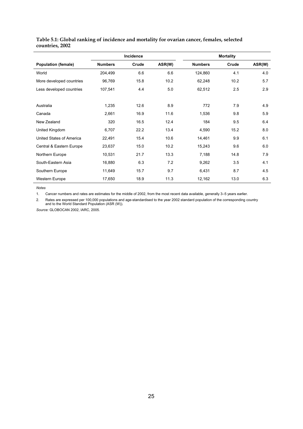|                            |                | Incidence |        |                | <b>Mortality</b> |        |
|----------------------------|----------------|-----------|--------|----------------|------------------|--------|
| <b>Population (female)</b> | <b>Numbers</b> | Crude     | ASR(W) | <b>Numbers</b> | Crude            | ASR(W) |
| World                      | 204,499        | 6.6       | 6.6    | 124,860        | 4.1              | 4.0    |
| More developed countries   | 96,769         | 15.8      | 10.2   | 62,248         | 10.2             | 5.7    |
| Less developed countries   | 107,541        | 4.4       | 5.0    | 62,512         | 2.5              | 2.9    |
|                            |                |           |        |                |                  |        |
| Australia                  | 1,235          | 12.6      | 8.9    | 772            | 7.9              | 4.9    |
| Canada                     | 2,661          | 16.9      | 11.6   | 1,536          | 9.8              | 5.9    |
| New Zealand                | 320            | 16.5      | 12.4   | 184            | 9.5              | 6.4    |
| United Kingdom             | 6,707          | 22.2      | 13.4   | 4,590          | 15.2             | 8.0    |
| United States of America   | 22,491         | 15.4      | 10.6   | 14,461         | 9.9              | 6.1    |
| Central & Eastern Europe   | 23,637         | 15.0      | 10.2   | 15,243         | 9.6              | 6.0    |
| Northern Europe            | 10,531         | 21.7      | 13.3   | 7,188          | 14.8             | 7.9    |
| South-Eastern Asia         | 16,880         | 6.3       | 7.2    | 9,262          | 3.5              | 4.1    |
| Southern Europe            | 11,649         | 15.7      | 9.7    | 6,431          | 8.7              | 4.5    |
| Western Europe             | 17,650         | 18.9      | 11.3   | 12,162         | 13.0             | 6.3    |

#### **Table 5.1: Global ranking of incidence and mortality for ovarian cancer, females, selected countries, 2002**

*Notes* 

 $\overline{a}$ 

1. Cancer numbers and rates are estimates for the middle of 2002, from the most recent data available, generally 3–5 years earlier.

2. Rates are expressed per 100,000 populations and age-standardised to the year 2002 standard population of the corresponding country and to the World Standard Population (ASR (W)).

*Source:* GLOBOCAN 2002, IARC, 2005.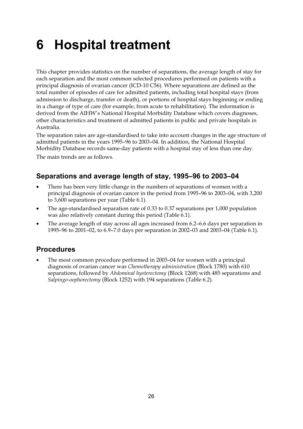## **6 Hospital treatment**

This chapter provides statistics on the number of separations, the average length of stay for each separation and the most common selected procedures performed on patients with a principal diagnosis of ovarian cancer (ICD-10 C56). Where separations are defined as the total number of episodes of care for admitted patients, including total hospital stays (from admission to discharge, transfer or death), or portions of hospital stays beginning or ending in a change of type of care (for example, from acute to rehabilitation). The information is derived from the AIHW's National Hospital Morbidity Database which covers diagnoses, other characteristics and treatment of admitted patients in public and private hospitals in Australia.

The separation rates are age-standardised to take into account changes in the age structure of admitted patients in the years 1995–96 to 2003–04. In addition, the National Hospital Morbidity Database records same-day patients with a hospital stay of less than one day.

The main trends are as follows.

## **Separations and average length of stay, 1995–96 to 2003–04**

- There has been very little change in the numbers of separations of women with a principal diagnosis of ovarian cancer in the period from 1995–96 to 2003–04, with 3,200 to 3,600 separations per year (Table 6.1).
- The age-standardised separation rate of 0.33 to 0.37 separations per 1,000 population was also relatively constant during this period (Table 6.1).
- The average length of stay across all ages increased from 6.2–6.6 days per separation in 1995–96 to 2001–02, to 6.9–7.0 days per separation in 2002–03 and 2003–04 (Table 6.1).

## **Procedures**

• The most common procedure performed in 2003–04 for women with a principal diagnosis of ovarian cancer was *Chemotherapy administration* (Block 1780) with 610 separations, followed by *Abdominal hysterectomy* (Block 1268) with 485 separations and *Salpingo-oophorectomy* (Block 1252) with 194 separations (Table 6.2).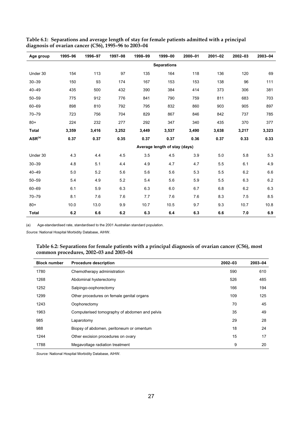| Age group    | 1995-96 | 1996-97 | 1997-98 | 1998-99 | 1999-00                       | 2000-01 | $2001 - 02$ | 2002-03 | 2003-04 |
|--------------|---------|---------|---------|---------|-------------------------------|---------|-------------|---------|---------|
|              |         |         |         |         | <b>Separations</b>            |         |             |         |         |
| Under 30     | 154     | 113     | 97      | 135     | 164                           | 118     | 136         | 120     | 69      |
| $30 - 39$    | 150     | 93      | 174     | 167     | 153                           | 153     | 138         | 96      | 111     |
| $40 - 49$    | 435     | 500     | 432     | 390     | 384                           | 414     | 373         | 306     | 381     |
| $50 - 59$    | 775     | 912     | 776     | 841     | 790                           | 759     | 811         | 683     | 703     |
| $60 - 69$    | 898     | 810     | 792     | 795     | 832                           | 860     | 903         | 905     | 897     |
| $70 - 79$    | 723     | 756     | 704     | 829     | 867                           | 846     | 842         | 737     | 785     |
| $80+$        | 224     | 232     | 277     | 292     | 347                           | 340     | 435         | 370     | 377     |
| <b>Total</b> | 3,359   | 3,416   | 3,252   | 3,449   | 3,537                         | 3,490   | 3,638       | 3,217   | 3,323   |
| $ASR^{(a)}$  | 0.37    | 0.37    | 0.35    | 0.37    | 0.37                          | 0.36    | 0.37        | 0.33    | 0.33    |
|              |         |         |         |         | Average length of stay (days) |         |             |         |         |
| Under 30     | 4.3     | 4.4     | 4.5     | 3.5     | 4.5                           | 3.9     | 5.0         | 5.8     | 5.3     |
| $30 - 39$    | 4.8     | 5.1     | 4.4     | 4.9     | 4.7                           | 4.7     | 5.5         | 6.1     | 4.9     |
| $40 - 49$    | 5.0     | 5.2     | 5.6     | 5.6     | 5.6                           | 5.3     | 5.5         | 6.2     | 6.6     |
| $50 - 59$    | 5.4     | 4.9     | 5.2     | 5.4     | 5.6                           | 5.9     | 5.5         | 6.3     | 6.2     |
| $60 - 69$    | 6.1     | 5.9     | 6.3     | 6.3     | 6.0                           | 6.7     | 6.8         | 6.2     | 6.3     |
| $70 - 79$    | 8.1     | 7.6     | 7.6     | 7.7     | 7.6                           | 7.6     | 8.3         | 7.5     | 8.5     |
| $80+$        | 10.0    | 13.0    | 9.9     | 10.7    | 10.5                          | 9.7     | 9.3         | 10.7    | 10.8    |
| <b>Total</b> | 6.2     | 6.6     | 6.2     | 6.3     | 6.4                           | 6.3     | 6.6         | 7.0     | 6.9     |

| Table 6.1: Separations and average length of stay for female patients admitted with a principal |  |
|-------------------------------------------------------------------------------------------------|--|
| diagnosis of ovarian cancer (C56), 1995–96 to 2003–04                                           |  |

(a) Age-standardised rate, standardised to the 2001 Australian standard population.

*Source:* National Hospital Morbidity Database, AIHW.

|                                        | Table 6.2: Separations for female patients with a principal diagnosis of ovarian cancer (C56), most |  |
|----------------------------------------|-----------------------------------------------------------------------------------------------------|--|
| common procedures, 2002-03 and 2003-04 |                                                                                                     |  |

| <b>Block number</b> | <b>Procedure description</b>                  | $2002 - 03$ | 2003-04 |
|---------------------|-----------------------------------------------|-------------|---------|
| 1780                | Chemotherapy administration                   | 590         | 610     |
| 1268                | Abdominal hysterectomy                        | 526         | 485     |
| 1252                | Salpingo-oophorectomy                         | 166         | 194     |
| 1299                | Other procedures on female genital organs     | 109         | 125     |
| 1243                | Oophorectomy                                  | 70          | 45      |
| 1963                | Computerised tomography of abdomen and pelvis | 35          | 49      |
| 985                 | Laparotomy                                    | 29          | 28      |
| 988                 | Biopsy of abdomen, peritoneum or omentum      | 18          | 24      |
| 1244                | Other excision procedures on ovary            | 15          | 17      |
| 1788                | Megavoltage radiation treatment               | 9           | 20      |

*Source:* National Hospital Morbidity Database, AIHW.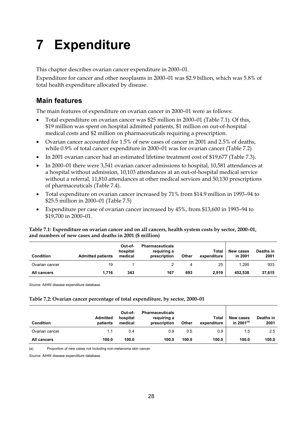## **7 Expenditure**

This chapter describes ovarian cancer expenditure in 2000–01.

Expenditure for cancer and other neoplasms in 2000–01 was \$2.9 billion, which was 5.8% of total health expenditure allocated by disease.

## **Main features**

The main features of expenditure on ovarian cancer in 2000–01 were as follows:

- Total expenditure on ovarian cancer was \$25 million in 2000–01 (Table 7.1). Of this, \$19 million was spent on hospital admitted patients, \$1 million on out-of-hospital medical costs and \$2 million on pharmaceuticals requiring a prescription.
- Ovarian cancer accounted for 1.5% of new cases of cancer in 2001 and 2.5% of deaths, while 0.9% of total cancer expenditure in 2000–01 was for ovarian cancer (Table 7.2)
- In 2001 ovarian cancer had an estimated lifetime treatment cost of \$19,677 (Table 7.3).
- In 2000–01 there were 3,541 ovarian cancer admissions to hospital, 10,581 attendances at a hospital without admission, 10,103 attendances at an out-of-hospital medical service without a referral, 11,810 attendances at other medical services and 50,130 prescriptions of pharmaceuticals (Table 7.4).
- Total expenditure on ovarian cancer increased by 71% from \$14.9 million in 1993–94 to \$25.5 million in 2000–01 (Table 7.5)
- Expenditure per case of ovarian cancer increased by 45%, from \$13,600 in 1993–94 to \$19,700 in 2000–01.

#### **Table 7.1: Expenditure on ovarian cancer and on all cancers, health system costs by sector, 2000–01, and numbers of new cases and deaths in 2001 (\$ million)**

| <b>Condition</b> | <b>Admitted patients</b> | Out-of-<br>hospital<br>medical | <b>Pharmaceuticals</b><br>requiring a<br>prescription | Other | Total<br>expenditure | New cases<br>in 2001 | Deaths in<br>2001 |
|------------------|--------------------------|--------------------------------|-------------------------------------------------------|-------|----------------------|----------------------|-------------------|
| Ovarian cancer   | 19                       |                                |                                                       | 4     | 25                   | 1,295                | 933               |
| All cancers      | 1.716                    | 343                            | 167                                                   | 693   | 2.919                | 452.538              | 37,615            |

*Source:* AIHW disease expenditure database.

#### **Table 7.2: Ovarian cancer percentage of total expenditure, by sector, 2000–01**

| <b>Condition</b> | <b>Admitted</b><br>patients | Out-of-<br>hospital<br>medical | <b>Pharmaceuticals</b><br>requiring a<br>prescription | Other | Total<br>expenditure | New cases<br>in 2001 $(a)$ | Deaths in<br>2001 |
|------------------|-----------------------------|--------------------------------|-------------------------------------------------------|-------|----------------------|----------------------------|-------------------|
| Ovarian cancer   | 1.1                         | 0.4                            | 0.9                                                   | 0.5   | 0.9                  | 1.5                        | $2.5\phantom{0}$  |
| All cancers      | 100.0                       | 100.0                          | 100.0                                                 | 100.0 | 100.0                | 100.0                      | 100.0             |

(a) Proportion of new cases not including non-melanoma skin cancer.

*Source:* AIHW disease expenditure database.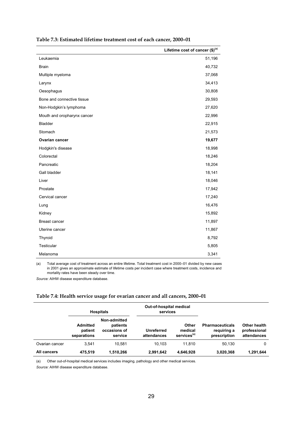|                             | Lifetime cost of cancer (\$)(a) |
|-----------------------------|---------------------------------|
| Leukaemia                   | 51,196                          |
| <b>Brain</b>                | 40,732                          |
| Multiple myeloma            | 37,068                          |
| Larynx                      | 34,413                          |
| Oesophagus                  | 30,808                          |
| Bone and connective tissue  | 29,593                          |
| Non-Hodgkin's lymphoma      | 27,620                          |
| Mouth and oropharynx cancer | 22,996                          |
| <b>Bladder</b>              | 22,915                          |
| Stomach                     | 21,573                          |
| Ovarian cancer              | 19,677                          |
| Hodgkin's disease           | 18,998                          |
| Colorectal                  | 18,246                          |
| Pancreatic                  | 18,204                          |
| Gall bladder                | 18,141                          |
| Liver                       | 18,046                          |
| Prostate                    | 17,942                          |
| Cervical cancer             | 17,240                          |
| Lung                        | 16,476                          |
| Kidney                      | 15,892                          |
| <b>Breast cancer</b>        | 11,897                          |
| Uterine cancer              | 11,867                          |
| Thyroid                     | 8,792                           |
| Testicular                  | 5,805                           |
| Melanoma                    | 3,341                           |

#### **Table 7.3: Estimated lifetime treatment cost of each cancer, 2000–01**

(a) Total average cost of treatment across an entire lifetime. Total treatment cost in 2000–01 divided by new cases in 2001 gives an approximate estimate of lifetime costs per incident case where treatment costs, incidence and mortality rates have been steady over time.

*Source:* AIHW disease expenditure database.

#### **Table 7.4: Health service usage for ovarian cancer and all cancers, 2000–01**

|                |                                           | <b>Hospitals</b>                                    | Out-of-hospital medical<br>services |                                             |                                                       |                                             |
|----------------|-------------------------------------------|-----------------------------------------------------|-------------------------------------|---------------------------------------------|-------------------------------------------------------|---------------------------------------------|
|                | <b>Admitted</b><br>patient<br>separations | Non-admitted<br>patients<br>occasions of<br>service | Unreferred<br>attendances           | Other<br>medical<br>services <sup>(a)</sup> | <b>Pharmaceuticals</b><br>requiring a<br>prescription | Other health<br>professional<br>attendances |
| Ovarian cancer | 3.541                                     | 10.581                                              | 10.103                              | 11.810                                      | 50.130                                                | 0                                           |
| All cancers    | 475.519                                   | 1,510,266                                           | 2,991,642                           | 4,646,928                                   | 3,020,368                                             | 1,291,644                                   |

(a) Other out-of-hospital medical services includes imaging, pathology and other medical services.

*Source:* AIHW disease expenditure database.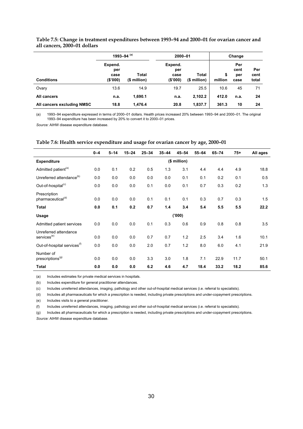#### **Table 7.5: Change in treatment expenditures between 1993–94 and 2000–01 for ovarian cancer and all cancers, 2000–01 dollars**

|                            | 1993–94 $(a)$                      |                       |                                   | 2000-01               |               |                            | Change               |  |  |
|----------------------------|------------------------------------|-----------------------|-----------------------------------|-----------------------|---------------|----------------------------|----------------------|--|--|
| <b>Conditions</b>          | Expend.<br>per<br>case<br>(\$'000) | Total<br>(\$ million) | Expend.<br>per<br>case<br>(S'000) | Total<br>$$$ million) | \$<br>million | Per<br>cent<br>per<br>case | Per<br>cent<br>total |  |  |
| Ovary                      | 13.6                               | 14.9                  | 19.7                              | 25.5                  | 10.6          | 45                         | 71                   |  |  |
| All cancers                | n.a.                               | 1,690.1               | n.a.                              | 2,102.2               | 412.0         | n.a.                       | 24                   |  |  |
| All cancers excluding NMSC | 18.8                               | 1,476.4               | 20.8                              | 1,837.7               | 361.3         | 10                         | 24                   |  |  |

(a) 1993–94 expenditure expressed in terms of 2000–01 dollars. Health prices increased 20% between 1993–94 and 2000–01. The original 1993–94 expenditure has been increased by 20% to convert it to 2000–01 prices.

*Source:* AIHW disease expenditure database.

| Table 7.6: Health service expenditure and usage for ovarian cancer by age, 2000-01 |  |
|------------------------------------------------------------------------------------|--|
|------------------------------------------------------------------------------------|--|

|                                               | $0 - 4$      | $5 - 14$ | $15 - 24$ | $25 - 34$ | $35 - 44$ | $45 - 54$ | $55 - 64$ | $65 - 74$ | $75+$ | All ages |
|-----------------------------------------------|--------------|----------|-----------|-----------|-----------|-----------|-----------|-----------|-------|----------|
| <b>Expenditure</b>                            | (\$ million) |          |           |           |           |           |           |           |       |          |
| Admitted patient <sup>(a)</sup>               | 0.0          | 0.1      | 0.2       | 0.5       | 1.3       | 3.1       | 4.4       | 4.4       | 4.9   | 18.8     |
| Unreferred attendance <sup>(b)</sup>          | 0.0          | 0.0      | 0.0       | 0.0       | 0.0       | 0.1       | 0.1       | 0.2       | 0.1   | 0.5      |
| Out-of-hospital <sup>(c)</sup>                | 0.0          | 0.0      | 0.0       | 0.1       | 0.0       | 0.1       | 0.7       | 0.3       | 0.2   | 1.3      |
| Prescription<br>pharmaceutical <sup>(d)</sup> | 0.0          | 0.0      | 0.0       | 0.1       | 0.1       | 0.1       | 0.3       | 0.7       | 0.3   | 1.5      |
| <b>Total</b>                                  | 0.0          | 0.1      | 0.2       | 0.7       | 1.4       | 3.4       | 5.4       | 5.5       | 5.5   | 22.2     |
| <b>Usage</b>                                  | ('000)       |          |           |           |           |           |           |           |       |          |
| Admitted patient services                     | 0.0          | 0.0      | 0.0       | 0.1       | 0.3       | 0.6       | 0.9       | 0.8       | 0.8   | 3.5      |
| Unreferred attendance<br>$s$ ervices $(e)$    | 0.0          | 0.0      | 0.0       | 0.7       | 0.7       | 1.2       | 2.5       | 3.4       | 1.6   | 10.1     |
| Out-of-hospital services <sup>(f)</sup>       | 0.0          | 0.0      | 0.0       | 2.0       | 0.7       | 1.2       | 8.0       | 6.0       | 4.1   | 21.9     |
| Number of<br>prescriptions <sup>(g)</sup>     | 0.0          | 0.0      | 0.0       | 3.3       | 3.0       | 1.8       | 7.1       | 22.9      | 11.7  | 50.1     |
| <b>Total</b>                                  | 0.0          | 0.0      | 0.0       | 6.2       | 4.6       | 4.7       | 18.4      | 33.2      | 18.2  | 85.6     |

(a) Includes estimates for private medical services in hospitals.

(b) Includes expenditure for general practitioner attendances.

(c) Includes unreferred attendances, imaging, pathology and other out-of-hospital medical services (i.e. referral to specialists).

(d) Includes all pharmaceuticals for which a prescription is needed, including private prescriptions and under-copayment prescriptions.

(e) Includes visits to a general practitioner.

(f) Includes unreferred attendances, imaging, pathology and other out-of-hospital medical services (i.e. referral to specialists).

(g) Includes all pharmaceuticals for which a prescription is needed, including private prescriptions and under-copayment prescriptions.

*Source:* AIHW disease expenditure database.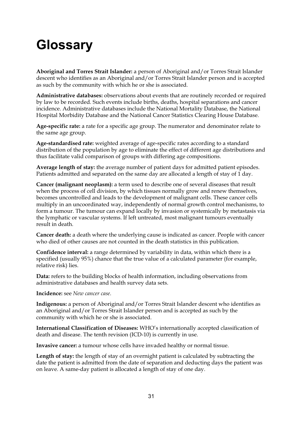## **Glossary**

**Aboriginal and Torres Strait Islander:** a person of Aboriginal and/or Torres Strait Islander descent who identifies as an Aboriginal and/or Torres Strait Islander person and is accepted as such by the community with which he or she is associated.

**Administrative databases:** observations about events that are routinely recorded or required by law to be recorded. Such events include births, deaths, hospital separations and cancer incidence. Administrative databases include the National Mortality Database, the National Hospital Morbidity Database and the National Cancer Statistics Clearing House Database.

**Age-specific rate:** a rate for a specific age group. The numerator and denominator relate to the same age group.

**Age-standardised rate:** weighted average of age-specific rates according to a standard distribution of the population by age to eliminate the effect of different age distributions and thus facilitate valid comparison of groups with differing age compositions.

**Average length of stay:** the average number of patient days for admitted patient episodes. Patients admitted and separated on the same day are allocated a length of stay of 1 day.

**Cancer (malignant neoplasm):** a term used to describe one of several diseases that result when the process of cell division, by which tissues normally grow and renew themselves, becomes uncontrolled and leads to the development of malignant cells. These cancer cells multiply in an uncoordinated way, independently of normal growth control mechanisms, to form a tumour. The tumour can expand locally by invasion or systemically by metastasis via the lymphatic or vascular systems. If left untreated, most malignant tumours eventually result in death.

**Cancer death:** a death where the underlying cause is indicated as cancer. People with cancer who died of other causes are not counted in the death statistics in this publication.

**Confidence interval:** a range determined by variability in data, within which there is a specified (usually 95%) chance that the true value of a calculated parameter (for example, relative risk) lies.

**Data:** refers to the building blocks of health information, including observations from administrative databases and health survey data sets.

**Incidence:** see *New cancer case.*

**Indigenous:** a person of Aboriginal and/or Torres Strait Islander descent who identifies as an Aboriginal and/or Torres Strait Islander person and is accepted as such by the community with which he or she is associated.

**International Classification of Diseases:** WHO's internationally accepted classification of death and disease. The tenth revision (ICD-10) is currently in use.

**Invasive cancer:** a tumour whose cells have invaded healthy or normal tissue.

**Length of stay:** the length of stay of an overnight patient is calculated by subtracting the date the patient is admitted from the date of separation and deducting days the patient was on leave. A same-day patient is allocated a length of stay of one day.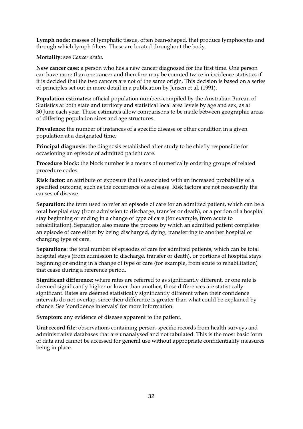**Lymph node:** masses of lymphatic tissue, often bean-shaped, that produce lymphocytes and through which lymph filters. These are located throughout the body.

#### **Mortality:** see *Cancer death.*

**New cancer case:** a person who has a new cancer diagnosed for the first time. One person can have more than one cancer and therefore may be counted twice in incidence statistics if it is decided that the two cancers are not of the same origin. This decision is based on a series of principles set out in more detail in a publication by Jensen et al. (1991).

**Population estimates:** official population numbers compiled by the Australian Bureau of Statistics at both state and territory and statistical local area levels by age and sex, as at 30 June each year. These estimates allow comparisons to be made between geographic areas of differing population sizes and age structures.

**Prevalence:** the number of instances of a specific disease or other condition in a given population at a designated time.

**Principal diagnosis:** the diagnosis established after study to be chiefly responsible for occasioning an episode of admitted patient care.

**Procedure block:** the block number is a means of numerically ordering groups of related procedure codes.

**Risk factor:** an attribute or exposure that is associated with an increased probability of a specified outcome, such as the occurrence of a disease. Risk factors are not necessarily the causes of disease.

**Separation:** the term used to refer an episode of care for an admitted patient, which can be a total hospital stay (from admission to discharge, transfer or death), or a portion of a hospital stay beginning or ending in a change of type of care (for example, from acute to rehabilitation). Separation also means the process by which an admitted patient completes an episode of care either by being discharged, dying, transferring to another hospital or changing type of care.

**Separations**: the total number of episodes of care for admitted patients, which can be total hospital stays (from admission to discharge, transfer or death), or portions of hospital stays beginning or ending in a change of type of care (for example, from acute to rehabilitation) that cease during a reference period.

**Significant difference:** where rates are referred to as significantly different, or one rate is deemed significantly higher or lower than another, these differences are statistically significant. Rates are deemed statistically significantly different when their confidence intervals do not overlap, since their difference is greater than what could be explained by chance. See 'confidence intervals' for more information.

**Symptom:** any evidence of disease apparent to the patient.

**Unit record file:** observations containing person-specific records from health surveys and administrative databases that are unanalysed and not tabulated. This is the most basic form of data and cannot be accessed for general use without appropriate confidentiality measures being in place.